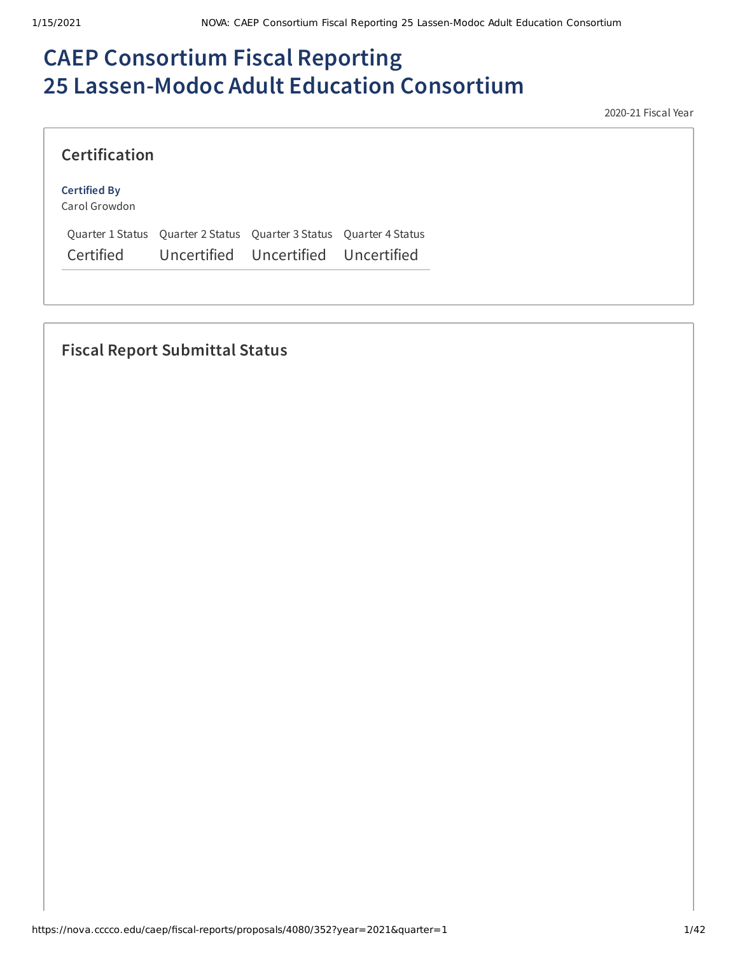# **CAEP Consortium Fiscal Reporting 25 Lassen-Modoc Adult Education Consortium**

2020-21 Fiscal Year

|  | <b>Certification</b> |  |
|--|----------------------|--|

#### **Certified By**

Carol Growdon

Quarter 1 Status Quarter 2 Status Quarter 3 Status Quarter 4 Status Certified Uncertified Uncertified Uncertified

# **Fiscal Report Submittal Status**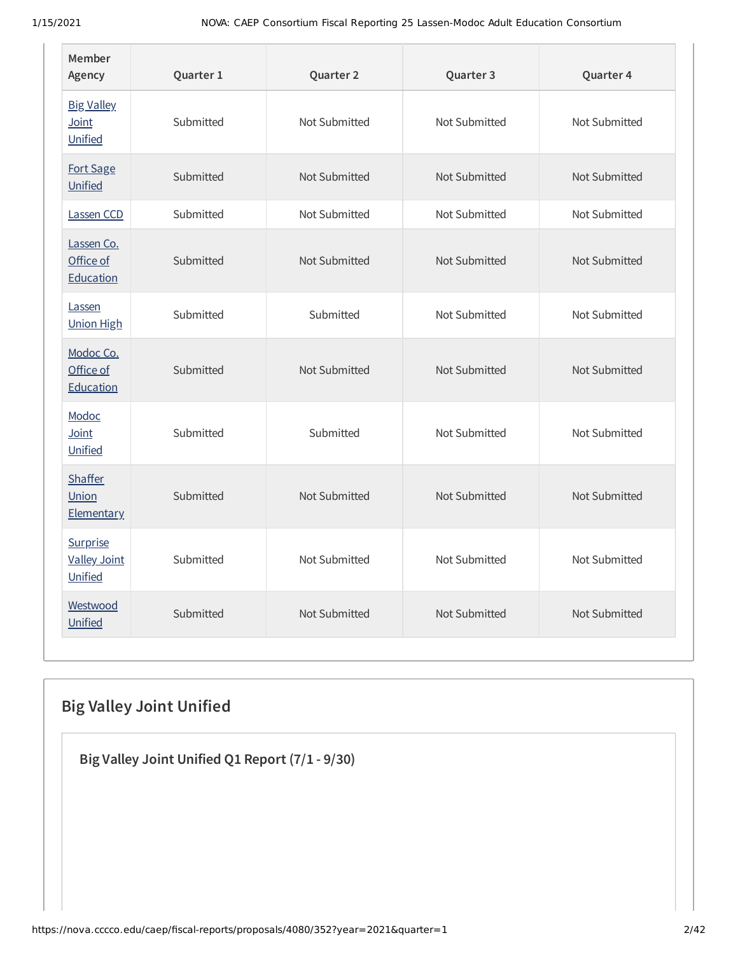| Member<br>Agency                             | Quarter 1 | Quarter 2     | Quarter 3     | Quarter 4     |
|----------------------------------------------|-----------|---------------|---------------|---------------|
| <b>Big Valley</b><br>Joint<br>Unified        | Submitted | Not Submitted | Not Submitted | Not Submitted |
| Fort Sage<br>Unified                         | Submitted | Not Submitted | Not Submitted | Not Submitted |
| Lassen CCD                                   | Submitted | Not Submitted | Not Submitted | Not Submitted |
| Lassen Co.<br>Office of<br>Education         | Submitted | Not Submitted | Not Submitted | Not Submitted |
| Lassen<br><b>Union High</b>                  | Submitted | Submitted     | Not Submitted | Not Submitted |
| Modoc Co.<br>Office of<br>Education          | Submitted | Not Submitted | Not Submitted | Not Submitted |
| Modoc<br>Joint<br>Unified                    | Submitted | Submitted     | Not Submitted | Not Submitted |
| <b>Shaffer</b><br>Union<br><b>Elementary</b> | Submitted | Not Submitted | Not Submitted | Not Submitted |
| Surprise<br><b>Valley Joint</b><br>Unified   | Submitted | Not Submitted | Not Submitted | Not Submitted |
| Westwood<br>Unified                          | Submitted | Not Submitted | Not Submitted | Not Submitted |

# **Big Valley Joint Unified**

**Big Valley Joint Unified Q1 Report (7/1 - 9/30)**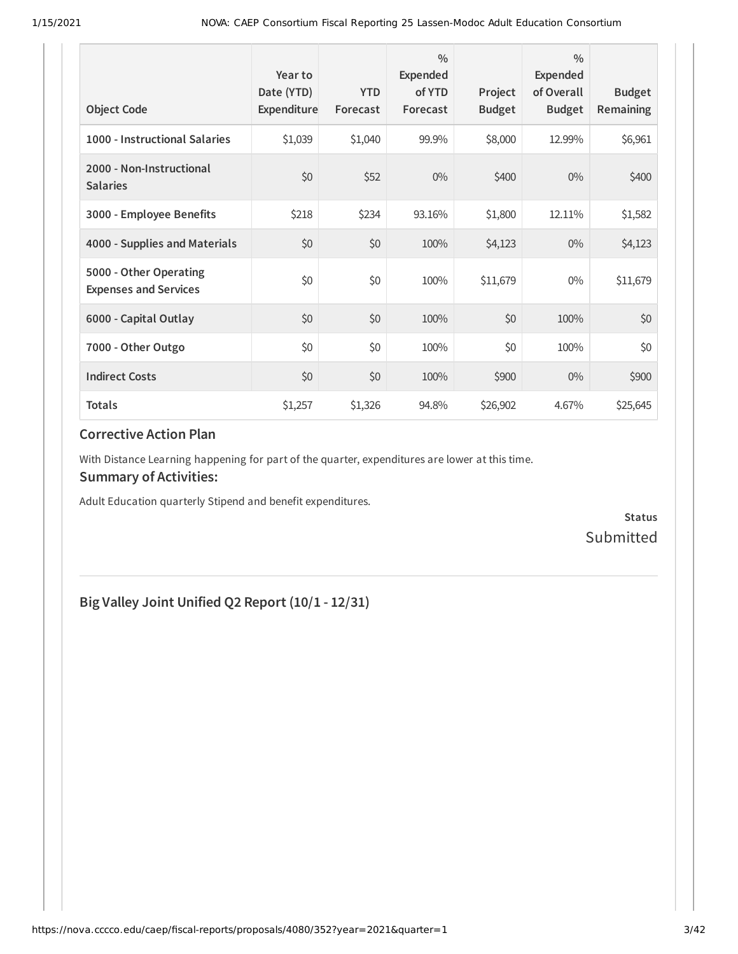| <b>Object Code</b>                                     | Year to<br>Date (YTD)<br>Expenditure | <b>YTD</b><br>Forecast | $\frac{0}{0}$<br>Expended<br>of YTD<br>Forecast | Project<br><b>Budget</b> | $\frac{0}{0}$<br>Expended<br>of Overall<br><b>Budget</b> | <b>Budget</b><br><b>Remaining</b> |
|--------------------------------------------------------|--------------------------------------|------------------------|-------------------------------------------------|--------------------------|----------------------------------------------------------|-----------------------------------|
| 1000 - Instructional Salaries                          | \$1,039                              | \$1,040                | 99.9%                                           | \$8,000                  | 12.99%                                                   | \$6,961                           |
| 2000 - Non-Instructional<br><b>Salaries</b>            | \$0                                  | \$52                   | $0\%$                                           | \$400                    | $0\%$                                                    | \$400                             |
| 3000 - Employee Benefits                               | \$218                                | \$234                  | 93.16%                                          | \$1,800                  | 12.11%                                                   | \$1,582                           |
| 4000 - Supplies and Materials                          | \$0                                  | \$0                    | 100%                                            | \$4,123                  | $0\%$                                                    | \$4,123                           |
| 5000 - Other Operating<br><b>Expenses and Services</b> | \$0                                  | \$0                    | 100%                                            | \$11,679                 | $0\%$                                                    | \$11,679                          |
| 6000 - Capital Outlay                                  | \$0                                  | \$0                    | 100%                                            | \$0                      | 100%                                                     | \$0                               |
| 7000 - Other Outgo                                     | \$0                                  | \$0                    | 100%                                            | \$0                      | 100%                                                     | \$0\$                             |
| <b>Indirect Costs</b>                                  | \$0                                  | \$0                    | 100%                                            | \$900                    | $0\%$                                                    | \$900                             |
| <b>Totals</b>                                          | \$1,257                              | \$1,326                | 94.8%                                           | \$26,902                 | 4.67%                                                    | \$25,645                          |

With Distance Learning happening for part of the quarter, expenditures are lower at this time.

#### **Summary of Activities:**

Adult Education quarterly Stipend and benefit expenditures.

**Status** Submitted

# **Big Valley Joint Unified Q2 Report (10/1 - 12/31)**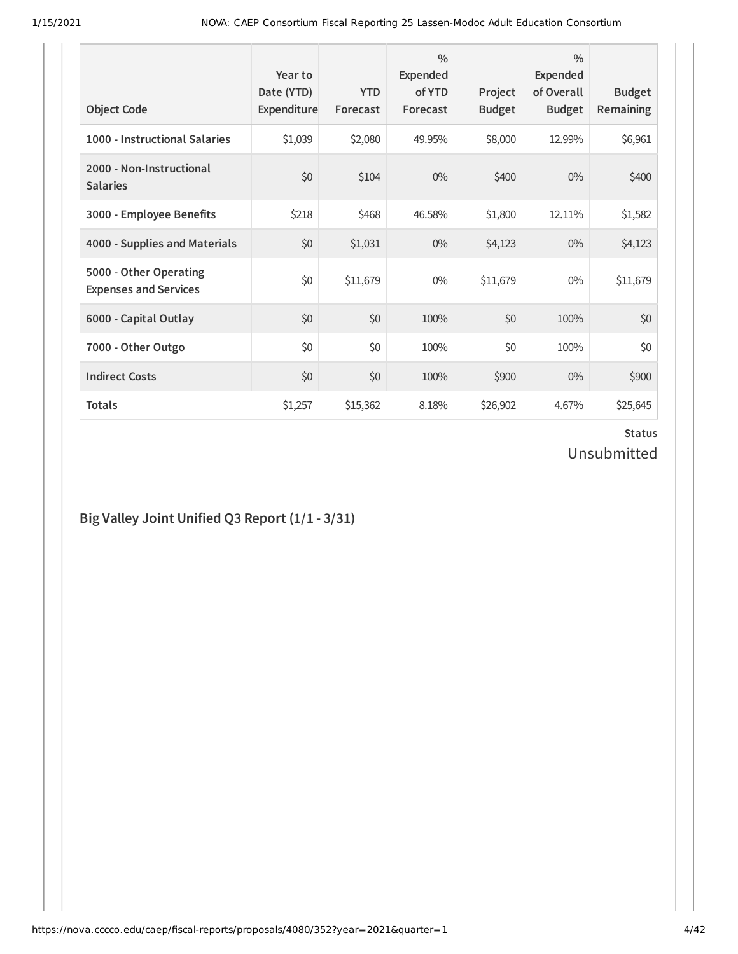| <b>Object Code</b>                                     | Year to<br>Date (YTD)<br>Expenditure | <b>YTD</b><br>Forecast | $\frac{0}{0}$<br>Expended<br>of YTD<br>Forecast | Project<br><b>Budget</b> | $\frac{0}{0}$<br>Expended<br>of Overall<br><b>Budget</b> | <b>Budget</b><br><b>Remaining</b> |
|--------------------------------------------------------|--------------------------------------|------------------------|-------------------------------------------------|--------------------------|----------------------------------------------------------|-----------------------------------|
| 1000 - Instructional Salaries                          | \$1,039                              | \$2,080                | 49.95%                                          | \$8,000                  | 12.99%                                                   | \$6,961                           |
| 2000 - Non-Instructional<br><b>Salaries</b>            | \$0                                  | \$104                  | $0\%$                                           | \$400                    | $0\%$                                                    | \$400                             |
| 3000 - Employee Benefits                               | \$218                                | \$468                  | 46.58%                                          | \$1,800                  | 12.11%                                                   | \$1,582                           |
| 4000 - Supplies and Materials                          | \$0                                  | \$1,031                | $0\%$                                           | \$4,123                  | $0\%$                                                    | \$4,123                           |
| 5000 - Other Operating<br><b>Expenses and Services</b> | \$0                                  | \$11,679               | $0\%$                                           | \$11,679                 | $0\%$                                                    | \$11,679                          |
| 6000 - Capital Outlay                                  | \$0                                  | \$0                    | 100%                                            | \$0                      | 100%                                                     | \$0                               |
| 7000 - Other Outgo                                     | \$0                                  | \$0                    | 100%                                            | \$0                      | 100%                                                     | \$0                               |
| <b>Indirect Costs</b>                                  | \$0                                  | \$0                    | 100%                                            | \$900                    | $0\%$                                                    | \$900                             |
| <b>Totals</b>                                          | \$1,257                              | \$15,362               | 8.18%                                           | \$26,902                 | 4.67%                                                    | \$25,645                          |

# **Big Valley Joint Unified Q3 Report (1/1 - 3/31)**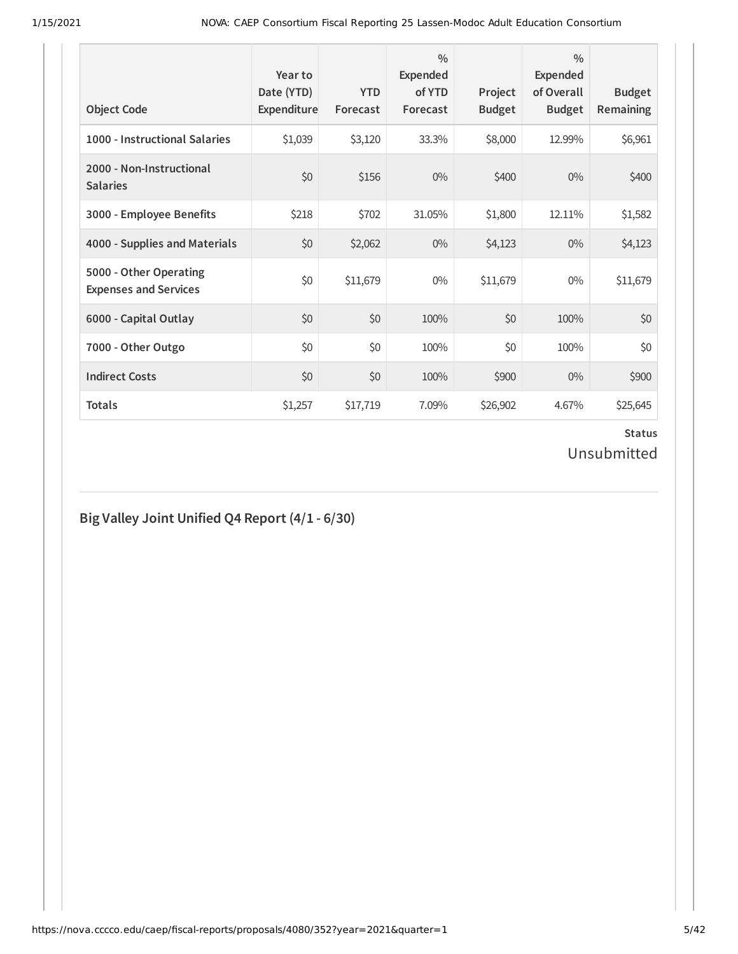| <b>Object Code</b>                                     | Year to<br>Date (YTD)<br>Expenditure | <b>YTD</b><br>Forecast | $\frac{0}{0}$<br>Expended<br>of YTD<br>Forecast | Project<br><b>Budget</b> | $\frac{0}{0}$<br>Expended<br>of Overall<br><b>Budget</b> | <b>Budget</b><br><b>Remaining</b> |
|--------------------------------------------------------|--------------------------------------|------------------------|-------------------------------------------------|--------------------------|----------------------------------------------------------|-----------------------------------|
| 1000 - Instructional Salaries                          | \$1,039                              | \$3,120                | 33.3%                                           | \$8,000                  | 12.99%                                                   | \$6,961                           |
| 2000 - Non-Instructional<br><b>Salaries</b>            | \$0                                  | \$156                  | $0\%$                                           | \$400                    | $0\%$                                                    | \$400                             |
| 3000 - Employee Benefits                               | \$218                                | \$702                  | 31.05%                                          | \$1,800                  | 12.11%                                                   | \$1,582                           |
| 4000 - Supplies and Materials                          | \$0                                  | \$2,062                | $0\%$                                           | \$4,123                  | $0\%$                                                    | \$4,123                           |
| 5000 - Other Operating<br><b>Expenses and Services</b> | \$0                                  | \$11,679               | $0\%$                                           | \$11,679                 | $0\%$                                                    | \$11,679                          |
| 6000 - Capital Outlay                                  | \$0                                  | \$0                    | 100%                                            | \$0                      | 100%                                                     | \$0                               |
| 7000 - Other Outgo                                     | \$0                                  | \$0                    | 100%                                            | \$0                      | 100%                                                     | \$0                               |
| <b>Indirect Costs</b>                                  | \$0                                  | \$0                    | 100%                                            | \$900                    | $0\%$                                                    | \$900                             |
| <b>Totals</b>                                          | \$1,257                              | \$17,719               | 7.09%                                           | \$26,902                 | 4.67%                                                    | \$25,645                          |

# **Big Valley Joint Unified Q4 Report (4/1 - 6/30)**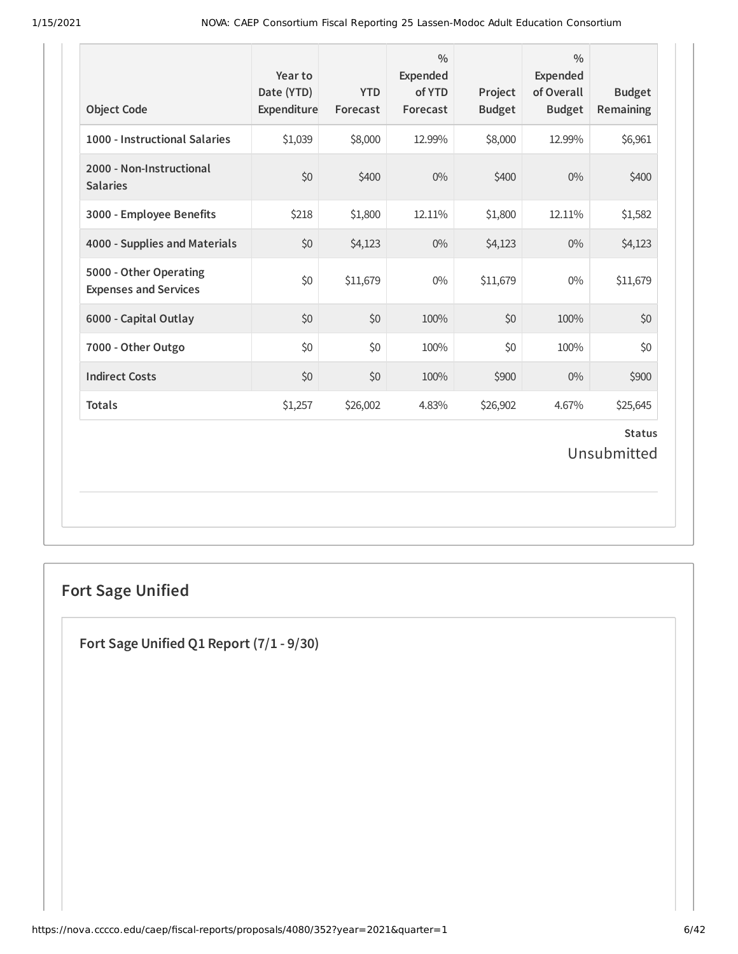| <b>Object Code</b>                                     | Year to<br>Date (YTD)<br>Expenditure | <b>YTD</b><br>Forecast | $\frac{0}{0}$<br><b>Expended</b><br>of YTD<br>Forecast | Project<br><b>Budget</b> | $\frac{0}{0}$<br>Expended<br>of Overall<br><b>Budget</b> | <b>Budget</b><br><b>Remaining</b> |
|--------------------------------------------------------|--------------------------------------|------------------------|--------------------------------------------------------|--------------------------|----------------------------------------------------------|-----------------------------------|
| 1000 - Instructional Salaries                          | \$1,039                              | \$8,000                | 12.99%                                                 | \$8,000                  | 12.99%                                                   | \$6,961                           |
| 2000 - Non-Instructional<br><b>Salaries</b>            | \$0                                  | \$400                  | $0\%$                                                  | \$400                    | 0%                                                       | \$400                             |
| 3000 - Employee Benefits                               | \$218                                | \$1,800                | 12.11%                                                 | \$1,800                  | 12.11%                                                   | \$1,582                           |
| 4000 - Supplies and Materials                          | \$0                                  | \$4,123                | $0\%$                                                  | \$4,123                  | $0\%$                                                    | \$4,123                           |
| 5000 - Other Operating<br><b>Expenses and Services</b> | \$0                                  | \$11,679               | $0\%$                                                  | \$11,679                 | $0\%$                                                    | \$11,679                          |
| 6000 - Capital Outlay                                  | \$0                                  | \$0                    | 100%                                                   | \$0                      | 100%                                                     | \$0                               |
| 7000 - Other Outgo                                     | \$0                                  | \$0                    | 100%                                                   | \$0                      | 100%                                                     | \$0                               |
| <b>Indirect Costs</b>                                  | \$0                                  | \$0                    | 100%                                                   | \$900                    | $0\%$                                                    | \$900                             |
| <b>Totals</b>                                          | \$1,257                              | \$26,002               | 4.83%                                                  | \$26,902                 | 4.67%                                                    | \$25,645                          |
|                                                        |                                      |                        |                                                        |                          |                                                          | <b>Status</b><br>Unsubmitted      |
|                                                        |                                      |                        |                                                        |                          |                                                          |                                   |

# **Fort Sage Unified**

**Fort Sage Unified Q1 Report (7/1 - 9/30)**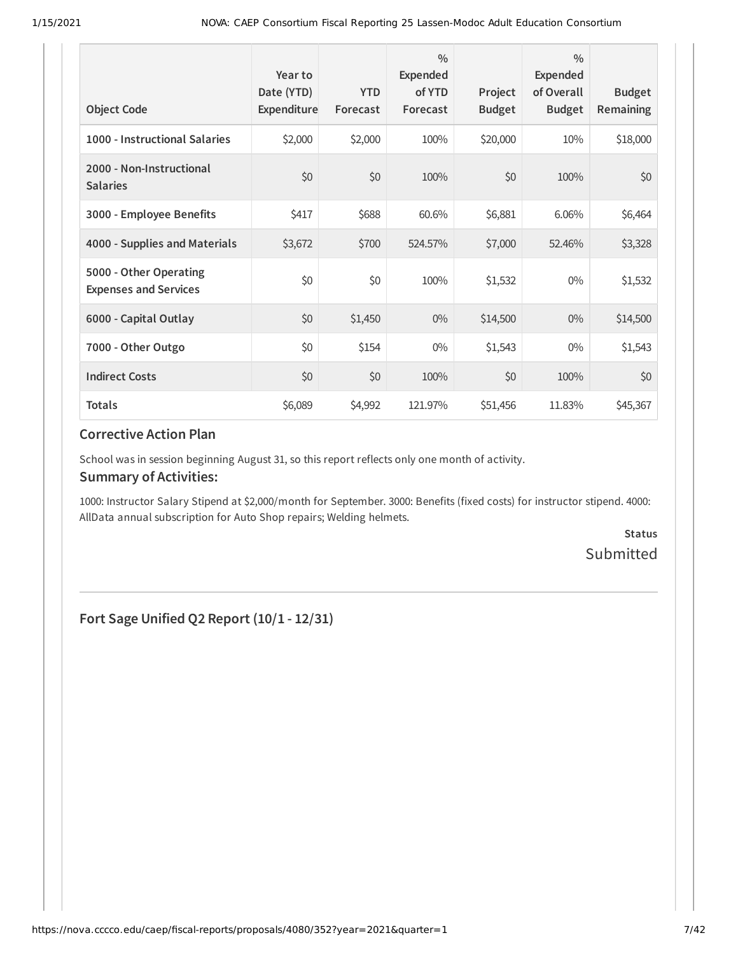| <b>Object Code</b>                                     | Year to<br>Date (YTD)<br>Expenditure | <b>YTD</b><br>Forecast | $\frac{0}{0}$<br><b>Expended</b><br>of YTD<br>Forecast | Project<br><b>Budget</b> | $\frac{0}{0}$<br>Expended<br>of Overall<br><b>Budget</b> | <b>Budget</b><br>Remaining |
|--------------------------------------------------------|--------------------------------------|------------------------|--------------------------------------------------------|--------------------------|----------------------------------------------------------|----------------------------|
| 1000 - Instructional Salaries                          | \$2,000                              | \$2,000                | 100%                                                   | \$20,000                 | 10%                                                      | \$18,000                   |
| 2000 - Non-Instructional<br><b>Salaries</b>            | \$0                                  | \$0                    | 100%                                                   | \$0                      | 100%                                                     | \$0                        |
| 3000 - Employee Benefits                               | \$417                                | \$688                  | 60.6%                                                  | \$6,881                  | 6.06%                                                    | \$6,464                    |
| 4000 - Supplies and Materials                          | \$3,672                              | \$700                  | 524.57%                                                | \$7,000                  | 52.46%                                                   | \$3,328                    |
| 5000 - Other Operating<br><b>Expenses and Services</b> | \$0                                  | \$0                    | 100%                                                   | \$1,532                  | $0\%$                                                    | \$1,532                    |
| 6000 - Capital Outlay                                  | \$0                                  | \$1,450                | $0\%$                                                  | \$14,500                 | $0\%$                                                    | \$14,500                   |
| 7000 - Other Outgo                                     | \$0                                  | \$154                  | $0\%$                                                  | \$1,543                  | $0\%$                                                    | \$1,543                    |
| <b>Indirect Costs</b>                                  | \$0                                  | \$0                    | 100%                                                   | \$0                      | 100%                                                     | \$0                        |
| <b>Totals</b>                                          | \$6,089                              | \$4,992                | 121.97%                                                | \$51,456                 | 11.83%                                                   | \$45,367                   |

School was in session beginning August 31, so this report reflects only one month of activity.

#### **Summary of Activities:**

1000: Instructor Salary Stipend at \$2,000/month for September. 3000: Benefits (fixed costs) for instructor stipend. 4000: AllData annual subscription for Auto Shop repairs; Welding helmets.

> **Status** Submitted

**Fort Sage Unified Q2 Report (10/1 - 12/31)**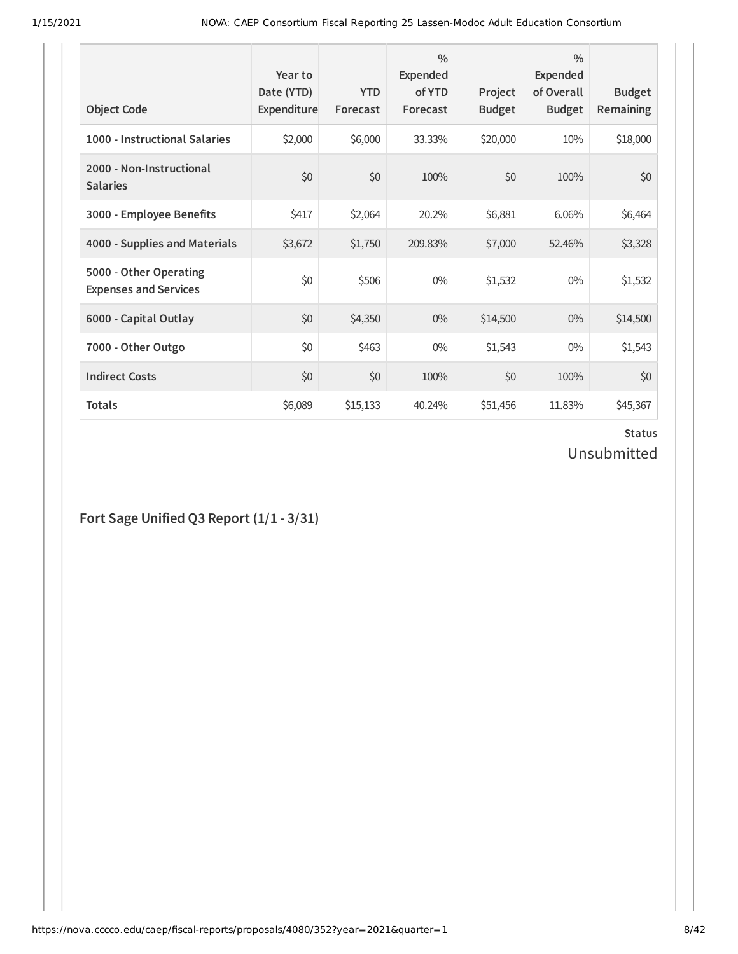| <b>Object Code</b>                                     | Year to<br>Date (YTD)<br>Expenditure | <b>YTD</b><br>Forecast | $\frac{0}{0}$<br>Expended<br>of YTD<br>Forecast | Project<br><b>Budget</b> | $\frac{0}{0}$<br>Expended<br>of Overall<br><b>Budget</b> | <b>Budget</b><br><b>Remaining</b> |
|--------------------------------------------------------|--------------------------------------|------------------------|-------------------------------------------------|--------------------------|----------------------------------------------------------|-----------------------------------|
| 1000 - Instructional Salaries                          | \$2,000                              | \$6,000                | 33.33%                                          | \$20,000                 | 10%                                                      | \$18,000                          |
| 2000 - Non-Instructional<br><b>Salaries</b>            | \$0                                  | \$0                    | 100%                                            | \$0                      | 100%                                                     | \$0                               |
| 3000 - Employee Benefits                               | \$417                                | \$2,064                | 20.2%                                           | \$6,881                  | 6.06%                                                    | \$6,464                           |
| 4000 - Supplies and Materials                          | \$3,672                              | \$1,750                | 209.83%                                         | \$7,000                  | 52.46%                                                   | \$3,328                           |
| 5000 - Other Operating<br><b>Expenses and Services</b> | \$0                                  | \$506                  | $0\%$                                           | \$1,532                  | $0\%$                                                    | \$1,532                           |
| 6000 - Capital Outlay                                  | \$0                                  | \$4,350                | $0\%$                                           | \$14,500                 | $0\%$                                                    | \$14,500                          |
| 7000 - Other Outgo                                     | \$0                                  | \$463                  | $0\%$                                           | \$1,543                  | $0\%$                                                    | \$1,543                           |
| <b>Indirect Costs</b>                                  | \$0                                  | \$0                    | 100%                                            | \$0                      | 100%                                                     | \$0                               |
| <b>Totals</b>                                          | \$6,089                              | \$15,133               | 40.24%                                          | \$51,456                 | 11.83%                                                   | \$45,367                          |

# **Fort Sage Unified Q3 Report (1/1 - 3/31)**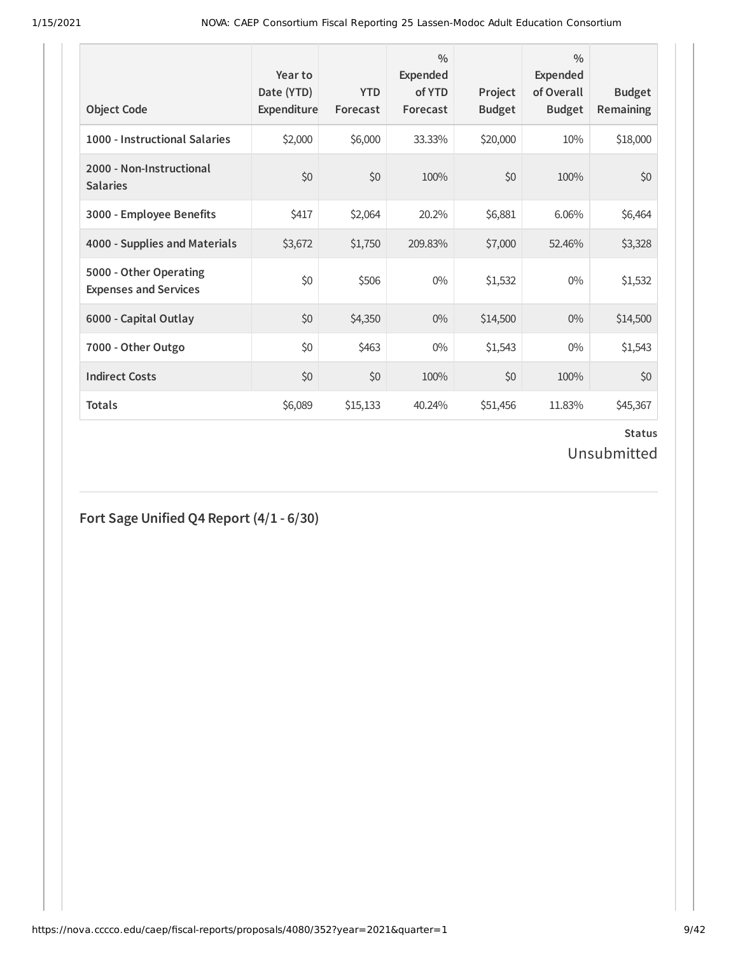| <b>Object Code</b>                                     | Year to<br>Date (YTD)<br>Expenditure | <b>YTD</b><br>Forecast | $\frac{0}{0}$<br>Expended<br>of YTD<br>Forecast | Project<br><b>Budget</b> | $\frac{0}{0}$<br>Expended<br>of Overall<br><b>Budget</b> | <b>Budget</b><br><b>Remaining</b> |
|--------------------------------------------------------|--------------------------------------|------------------------|-------------------------------------------------|--------------------------|----------------------------------------------------------|-----------------------------------|
| 1000 - Instructional Salaries                          | \$2,000                              | \$6,000                | 33.33%                                          | \$20,000                 | 10%                                                      | \$18,000                          |
| 2000 - Non-Instructional<br><b>Salaries</b>            | \$0                                  | \$0                    | 100%                                            | \$0                      | 100%                                                     | \$0                               |
| 3000 - Employee Benefits                               | \$417                                | \$2,064                | 20.2%                                           | \$6,881                  | 6.06%                                                    | \$6,464                           |
| 4000 - Supplies and Materials                          | \$3,672                              | \$1,750                | 209.83%                                         | \$7,000                  | 52.46%                                                   | \$3,328                           |
| 5000 - Other Operating<br><b>Expenses and Services</b> | \$0                                  | \$506                  | $0\%$                                           | \$1,532                  | $0\%$                                                    | \$1,532                           |
| 6000 - Capital Outlay                                  | \$0                                  | \$4,350                | $0\%$                                           | \$14,500                 | $0\%$                                                    | \$14,500                          |
| 7000 - Other Outgo                                     | \$0                                  | \$463                  | $0\%$                                           | \$1,543                  | $0\%$                                                    | \$1,543                           |
| <b>Indirect Costs</b>                                  | \$0                                  | \$0                    | 100%                                            | \$0                      | 100%                                                     | \$0                               |
| <b>Totals</b>                                          | \$6,089                              | \$15,133               | 40.24%                                          | \$51,456                 | 11.83%                                                   | \$45,367                          |

# **Status**

# Unsubmitted

**Fort Sage Unified Q4 Report (4/1 - 6/30)**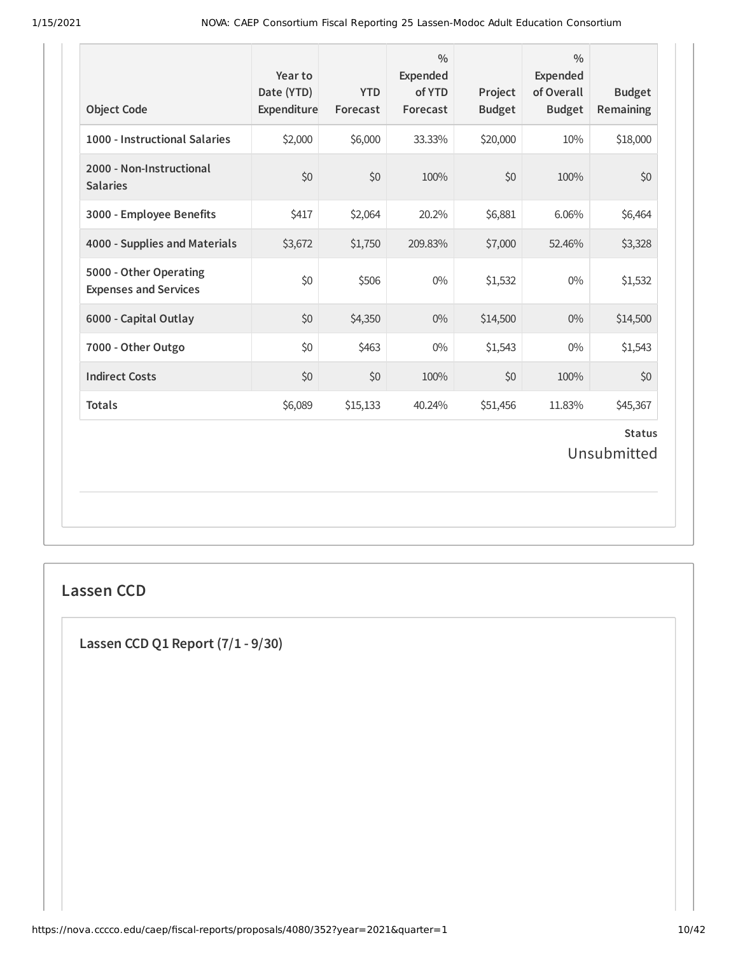| <b>Object Code</b>                                     | Year to<br>Date (YTD)<br>Expenditure | <b>YTD</b><br>Forecast | $\frac{0}{0}$<br><b>Expended</b><br>of YTD<br>Forecast | Project<br><b>Budget</b> | $\frac{0}{0}$<br><b>Expended</b><br>of Overall<br><b>Budget</b> | <b>Budget</b><br><b>Remaining</b> |
|--------------------------------------------------------|--------------------------------------|------------------------|--------------------------------------------------------|--------------------------|-----------------------------------------------------------------|-----------------------------------|
| 1000 - Instructional Salaries                          | \$2,000                              | \$6,000                | 33.33%                                                 | \$20,000                 | 10%                                                             | \$18,000                          |
| 2000 - Non-Instructional<br><b>Salaries</b>            | \$0                                  | \$0                    | 100%                                                   | \$0                      | 100%                                                            | \$0                               |
| 3000 - Employee Benefits                               | \$417                                | \$2,064                | 20.2%                                                  | \$6,881                  | 6.06%                                                           | \$6,464                           |
| 4000 - Supplies and Materials                          | \$3,672                              | \$1,750                | 209.83%                                                | \$7,000                  | 52.46%                                                          | \$3,328                           |
| 5000 - Other Operating<br><b>Expenses and Services</b> | \$0                                  | \$506                  | $0\%$                                                  | \$1,532                  | $0\%$                                                           | \$1,532                           |
| 6000 - Capital Outlay                                  | \$0                                  | \$4,350                | $0\%$                                                  | \$14,500                 | $0\%$                                                           | \$14,500                          |
| 7000 - Other Outgo                                     | \$0                                  | \$463                  | $0\%$                                                  | \$1,543                  | $0\%$                                                           | \$1,543                           |
| <b>Indirect Costs</b>                                  | \$0                                  | \$0                    | 100%                                                   | \$0                      | 100%                                                            | \$0                               |
| <b>Totals</b>                                          | \$6,089                              | \$15,133               | 40.24%                                                 | \$51,456                 | 11.83%                                                          | \$45,367                          |
|                                                        |                                      |                        |                                                        |                          |                                                                 | <b>Status</b><br>Unsubmitted      |

## **Lassen CCD**

**Lassen CCD Q1 Report (7/1 - 9/30)**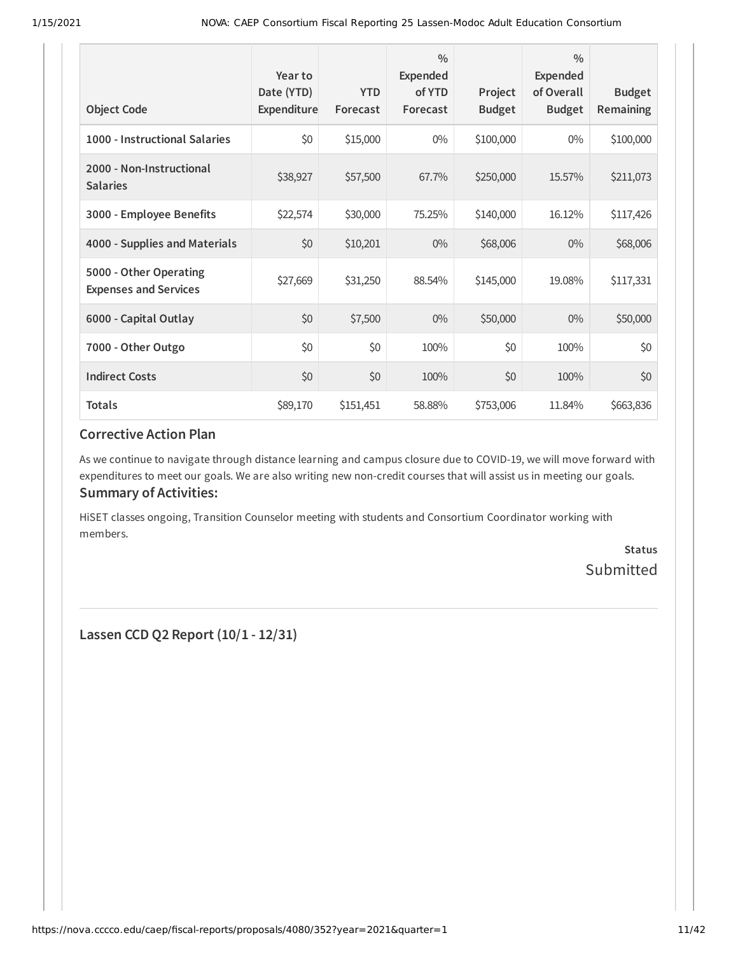| <b>Object Code</b>                                     | Year to<br>Date (YTD)<br>Expenditure | <b>YTD</b><br>Forecast | $\frac{0}{0}$<br><b>Expended</b><br>of YTD<br>Forecast | Project<br><b>Budget</b> | $\frac{0}{0}$<br>Expended<br>of Overall<br><b>Budget</b> | <b>Budget</b><br>Remaining |
|--------------------------------------------------------|--------------------------------------|------------------------|--------------------------------------------------------|--------------------------|----------------------------------------------------------|----------------------------|
| 1000 - Instructional Salaries                          | \$0                                  | \$15,000               | $0\%$                                                  | \$100,000                | $0\%$                                                    | \$100,000                  |
| 2000 - Non-Instructional<br><b>Salaries</b>            | \$38,927                             | \$57,500               | 67.7%                                                  | \$250,000                | 15.57%                                                   | \$211,073                  |
| 3000 - Employee Benefits                               | \$22,574                             | \$30,000               | 75.25%                                                 | \$140,000                | 16.12%                                                   | \$117,426                  |
| 4000 - Supplies and Materials                          | \$0                                  | \$10,201               | $0\%$                                                  | \$68,006                 | $0\%$                                                    | \$68,006                   |
| 5000 - Other Operating<br><b>Expenses and Services</b> | \$27,669                             | \$31,250               | 88.54%                                                 | \$145,000                | 19.08%                                                   | \$117,331                  |
| 6000 - Capital Outlay                                  | \$0                                  | \$7,500                | $0\%$                                                  | \$50,000                 | $0\%$                                                    | \$50,000                   |
| 7000 - Other Outgo                                     | \$0                                  | \$0                    | 100%                                                   | \$0                      | 100%                                                     | \$0                        |
| <b>Indirect Costs</b>                                  | \$0                                  | \$0                    | 100%                                                   | \$0                      | 100%                                                     | \$0                        |
| <b>Totals</b>                                          | \$89,170                             | \$151,451              | 58.88%                                                 | \$753,006                | 11.84%                                                   | \$663,836                  |

As we continue to navigate through distance learning and campus closure due to COVID-19, we will move forward with expenditures to meet our goals. We are also writing new non-credit courses that will assist us in meeting our goals. **Summary of Activities:**

HiSET classes ongoing, Transition Counselor meeting with students and Consortium Coordinator working with members.

> **Status** Submitted

**Lassen CCD Q2 Report (10/1 - 12/31)**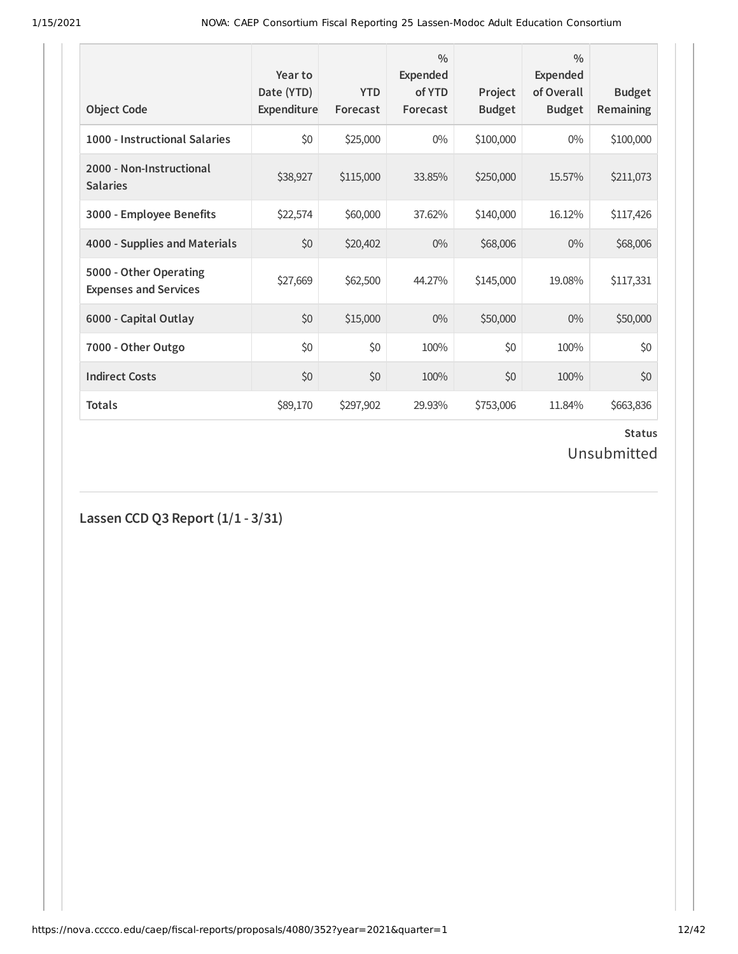| <b>Object Code</b>                                     | Year to<br>Date (YTD)<br>Expenditure | <b>YTD</b><br>Forecast | $\frac{0}{0}$<br>Expended<br>of YTD<br>Forecast | Project<br><b>Budget</b> | $\frac{0}{0}$<br>Expended<br>of Overall<br><b>Budget</b> | <b>Budget</b><br><b>Remaining</b> |
|--------------------------------------------------------|--------------------------------------|------------------------|-------------------------------------------------|--------------------------|----------------------------------------------------------|-----------------------------------|
| 1000 - Instructional Salaries                          | \$0                                  | \$25,000               | $0\%$                                           | \$100,000                | $0\%$                                                    | \$100,000                         |
| 2000 - Non-Instructional<br><b>Salaries</b>            | \$38,927                             | \$115,000              | 33.85%                                          | \$250,000                | 15.57%                                                   | \$211,073                         |
| 3000 - Employee Benefits                               | \$22,574                             | \$60,000               | 37.62%                                          | \$140,000                | 16.12%                                                   | \$117,426                         |
| 4000 - Supplies and Materials                          | \$0                                  | \$20,402               | $0\%$                                           | \$68,006                 | $0\%$                                                    | \$68,006                          |
| 5000 - Other Operating<br><b>Expenses and Services</b> | \$27,669                             | \$62,500               | 44.27%                                          | \$145,000                | 19.08%                                                   | \$117,331                         |
| 6000 - Capital Outlay                                  | \$0                                  | \$15,000               | $0\%$                                           | \$50,000                 | $0\%$                                                    | \$50,000                          |
| 7000 - Other Outgo                                     | \$0                                  | \$0                    | 100%                                            | \$0                      | 100%                                                     | \$0                               |
| <b>Indirect Costs</b>                                  | \$0                                  | \$0                    | 100%                                            | \$0                      | 100%                                                     | \$0                               |
| <b>Totals</b>                                          | \$89,170                             | \$297,902              | 29.93%                                          | \$753,006                | 11.84%                                                   | \$663,836                         |

# **Status**

Unsubmitted

**Lassen CCD Q3 Report (1/1 - 3/31)**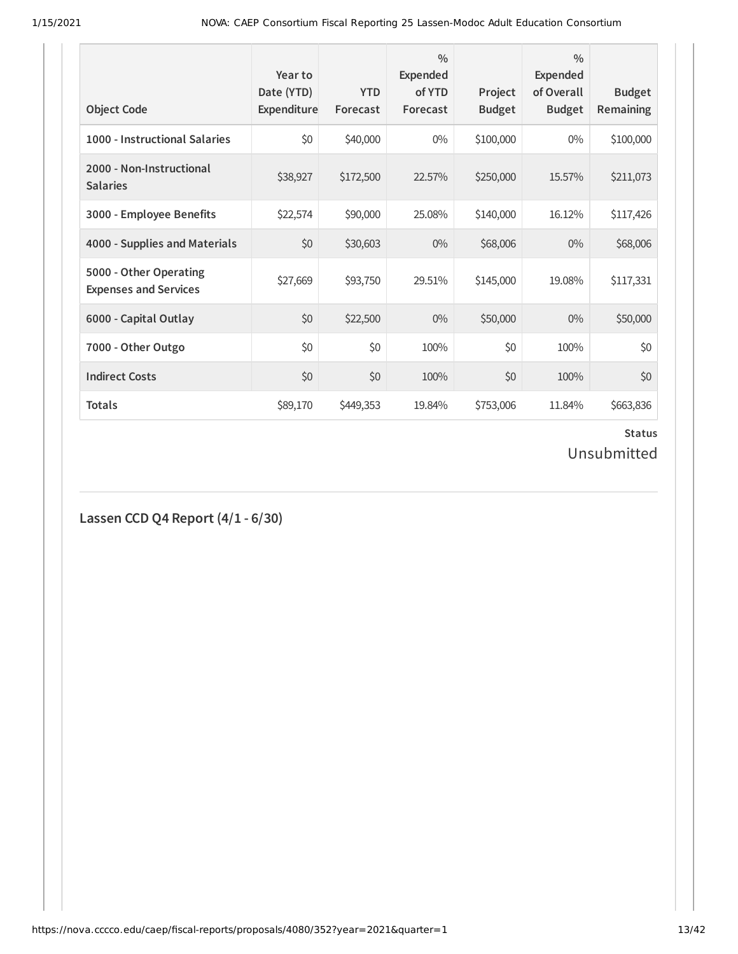| <b>Object Code</b>                                     | Year to<br>Date (YTD)<br>Expenditure | <b>YTD</b><br>Forecast | $\frac{0}{0}$<br><b>Expended</b><br>of YTD<br>Forecast | Project<br><b>Budget</b> | $\frac{0}{0}$<br><b>Expended</b><br>of Overall<br><b>Budget</b> | <b>Budget</b><br><b>Remaining</b> |
|--------------------------------------------------------|--------------------------------------|------------------------|--------------------------------------------------------|--------------------------|-----------------------------------------------------------------|-----------------------------------|
| 1000 - Instructional Salaries                          | \$0                                  | \$40,000               | $0\%$                                                  | \$100,000                | $0\%$                                                           | \$100,000                         |
| 2000 - Non-Instructional<br><b>Salaries</b>            | \$38,927                             | \$172,500              | 22.57%                                                 | \$250,000                | 15.57%                                                          | \$211,073                         |
| 3000 - Employee Benefits                               | \$22,574                             | \$90,000               | 25.08%                                                 | \$140,000                | 16.12%                                                          | \$117,426                         |
| 4000 - Supplies and Materials                          | \$0                                  | \$30,603               | $0\%$                                                  | \$68,006                 | $0\%$                                                           | \$68,006                          |
| 5000 - Other Operating<br><b>Expenses and Services</b> | \$27,669                             | \$93,750               | 29.51%                                                 | \$145,000                | 19.08%                                                          | \$117,331                         |
| 6000 - Capital Outlay                                  | \$0                                  | \$22,500               | $0\%$                                                  | \$50,000                 | $0\%$                                                           | \$50,000                          |
| 7000 - Other Outgo                                     | \$0                                  | \$0                    | 100%                                                   | \$0                      | 100%                                                            | \$0                               |
| <b>Indirect Costs</b>                                  | \$0                                  | \$0                    | 100%                                                   | \$0                      | 100%                                                            | \$0                               |
| <b>Totals</b>                                          | \$89,170                             | \$449,353              | 19.84%                                                 | \$753,006                | 11.84%                                                          | \$663,836                         |

# **Status**

Unsubmitted

**Lassen CCD Q4 Report (4/1 - 6/30)**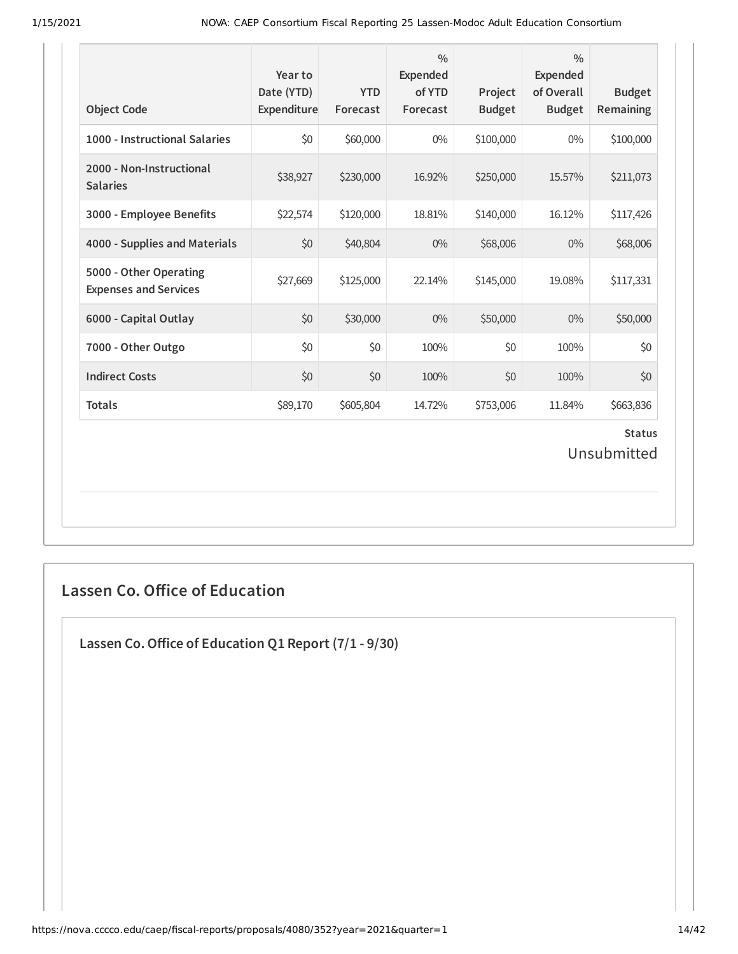| <b>Object Code</b>                                     | Year to<br>Date (YTD)<br>Expenditure | <b>YTD</b><br>Forecast | $\frac{0}{0}$<br><b>Expended</b><br>of YTD<br>Forecast | Project<br><b>Budget</b> | $\frac{0}{0}$<br><b>Expended</b><br>of Overall<br><b>Budget</b> | <b>Budget</b><br>Remaining   |
|--------------------------------------------------------|--------------------------------------|------------------------|--------------------------------------------------------|--------------------------|-----------------------------------------------------------------|------------------------------|
| 1000 - Instructional Salaries                          | \$0                                  | \$60,000               | $0\%$                                                  | \$100,000                | $0\%$                                                           | \$100,000                    |
| 2000 - Non-Instructional<br><b>Salaries</b>            | \$38,927                             | \$230,000              | 16.92%                                                 | \$250,000                | 15.57%                                                          | \$211,073                    |
| 3000 - Employee Benefits                               | \$22,574                             | \$120,000              | 18.81%                                                 | \$140,000                | 16.12%                                                          | \$117,426                    |
| 4000 - Supplies and Materials                          | \$0                                  | \$40,804               | $0\%$                                                  | \$68,006                 | $0\%$                                                           | \$68,006                     |
| 5000 - Other Operating<br><b>Expenses and Services</b> | \$27,669                             | \$125,000              | 22.14%                                                 | \$145,000                | 19.08%                                                          | \$117,331                    |
| 6000 - Capital Outlay                                  | \$0                                  | \$30,000               | $0\%$                                                  | \$50,000                 | $0\%$                                                           | \$50,000                     |
| 7000 - Other Outgo                                     | \$0                                  | \$0                    | 100%                                                   | \$0                      | 100%                                                            | \$0                          |
| <b>Indirect Costs</b>                                  | \$0                                  | \$0                    | 100%                                                   | \$0                      | 100%                                                            | \$0                          |
| <b>Totals</b>                                          | \$89,170                             | \$605,804              | 14.72%                                                 | \$753,006                | 11.84%                                                          | \$663,836                    |
|                                                        |                                      |                        |                                                        |                          |                                                                 | <b>Status</b><br>Unsubmitted |

# **Lassen Co. Office of Education**

**Lassen Co.Oice of Education Q1 Report (7/1 - 9/30)**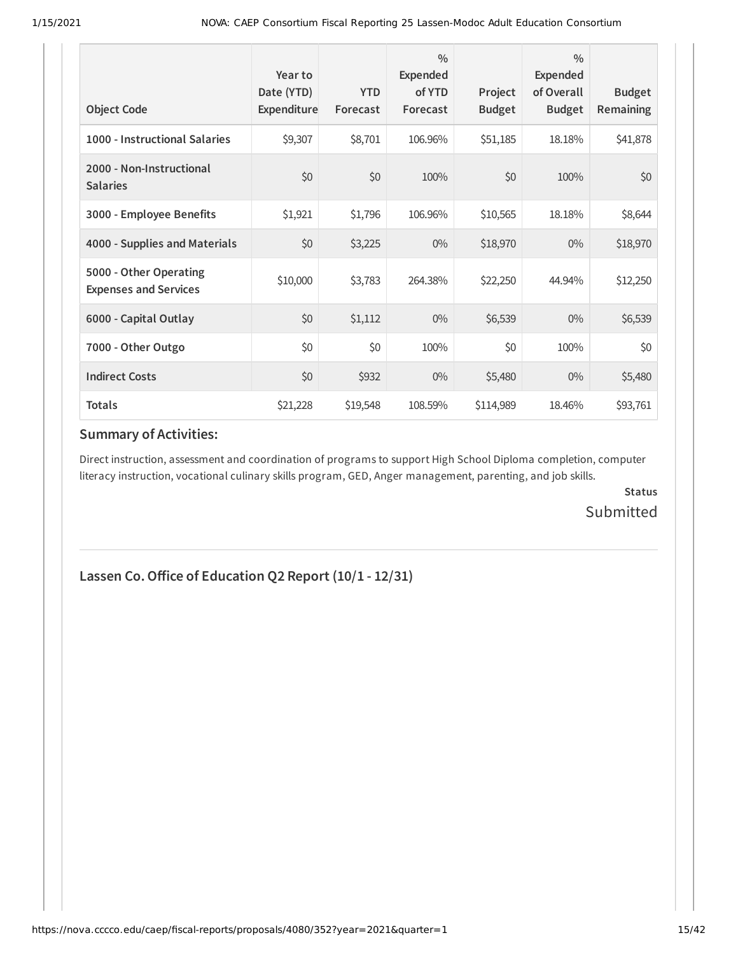| <b>Object Code</b>                                     | Year to<br>Date (YTD)<br>Expenditure | <b>YTD</b><br>Forecast | $\frac{0}{0}$<br><b>Expended</b><br>of YTD<br>Forecast | Project<br><b>Budget</b> | $\frac{0}{0}$<br>Expended<br>of Overall<br><b>Budget</b> | <b>Budget</b><br><b>Remaining</b> |
|--------------------------------------------------------|--------------------------------------|------------------------|--------------------------------------------------------|--------------------------|----------------------------------------------------------|-----------------------------------|
| 1000 - Instructional Salaries                          | \$9,307                              | \$8,701                | 106.96%                                                | \$51,185                 | 18.18%                                                   | \$41,878                          |
| 2000 - Non-Instructional<br><b>Salaries</b>            | \$0                                  | \$0                    | 100%                                                   | \$0                      | 100%                                                     | \$0                               |
| 3000 - Employee Benefits                               | \$1,921                              | \$1,796                | 106.96%                                                | \$10,565                 | 18.18%                                                   | \$8,644                           |
| 4000 - Supplies and Materials                          | \$0                                  | \$3,225                | $0\%$                                                  | \$18,970                 | $0\%$                                                    | \$18,970                          |
| 5000 - Other Operating<br><b>Expenses and Services</b> | \$10,000                             | \$3,783                | 264.38%                                                | \$22,250                 | 44.94%                                                   | \$12,250                          |
| 6000 - Capital Outlay                                  | \$0                                  | \$1,112                | $0\%$                                                  | \$6,539                  | $0\%$                                                    | \$6,539                           |
| 7000 - Other Outgo                                     | \$0                                  | \$0                    | 100%                                                   | \$0                      | 100%                                                     | \$0                               |
| <b>Indirect Costs</b>                                  | \$0                                  | \$932                  | 0%                                                     | \$5,480                  | $0\%$                                                    | \$5,480                           |
| <b>Totals</b>                                          | \$21,228                             | \$19,548               | 108.59%                                                | \$114,989                | 18.46%                                                   | \$93,761                          |

#### **Summary of Activities:**

Direct instruction, assessment and coordination of programs to support High School Diploma completion, computer literacy instruction, vocational culinary skills program, GED, Anger management, parenting, and job skills.

> **Status** Submitted

#### **Lassen Co.Oice of Education Q2 Report (10/1 - 12/31)**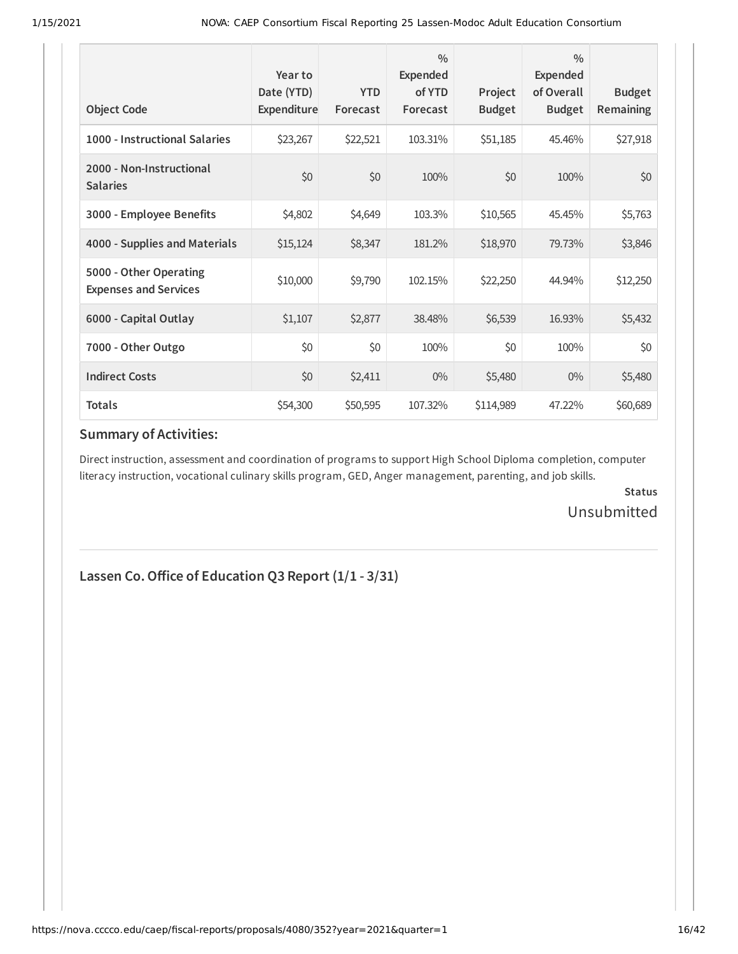| <b>Object Code</b>                                     | Year to<br>Date (YTD)<br>Expenditure | <b>YTD</b><br>Forecast | $\frac{0}{0}$<br>Expended<br>of YTD<br>Forecast | Project<br><b>Budget</b> | $\frac{0}{0}$<br>Expended<br>of Overall<br><b>Budget</b> | <b>Budget</b><br>Remaining |
|--------------------------------------------------------|--------------------------------------|------------------------|-------------------------------------------------|--------------------------|----------------------------------------------------------|----------------------------|
| 1000 - Instructional Salaries                          | \$23,267                             | \$22,521               | 103.31%                                         | \$51,185                 | 45.46%                                                   | \$27,918                   |
| 2000 - Non-Instructional<br><b>Salaries</b>            | \$0                                  | \$0                    | 100%                                            | \$0                      | 100%                                                     | \$0                        |
| 3000 - Employee Benefits                               | \$4,802                              | \$4,649                | 103.3%                                          | \$10,565                 | 45.45%                                                   | \$5,763                    |
| 4000 - Supplies and Materials                          | \$15,124                             | \$8,347                | 181.2%                                          | \$18,970                 | 79.73%                                                   | \$3,846                    |
| 5000 - Other Operating<br><b>Expenses and Services</b> | \$10,000                             | \$9,790                | 102.15%                                         | \$22,250                 | 44.94%                                                   | \$12,250                   |
| 6000 - Capital Outlay                                  | \$1,107                              | \$2,877                | 38.48%                                          | \$6,539                  | 16.93%                                                   | \$5,432                    |
| 7000 - Other Outgo                                     | \$0                                  | \$0                    | 100%                                            | \$0                      | 100%                                                     | \$0                        |
| <b>Indirect Costs</b>                                  | \$0                                  | \$2,411                | $0\%$                                           | \$5,480                  | $0\%$                                                    | \$5,480                    |
| <b>Totals</b>                                          | \$54,300                             | \$50,595               | 107.32%                                         | \$114,989                | 47.22%                                                   | \$60,689                   |

#### **Summary of Activities:**

Direct instruction, assessment and coordination of programs to support High School Diploma completion, computer literacy instruction, vocational culinary skills program, GED, Anger management, parenting, and job skills.

> **Status** Unsubmitted

#### **Lassen Co.Oice of Education Q3 Report (1/1 - 3/31)**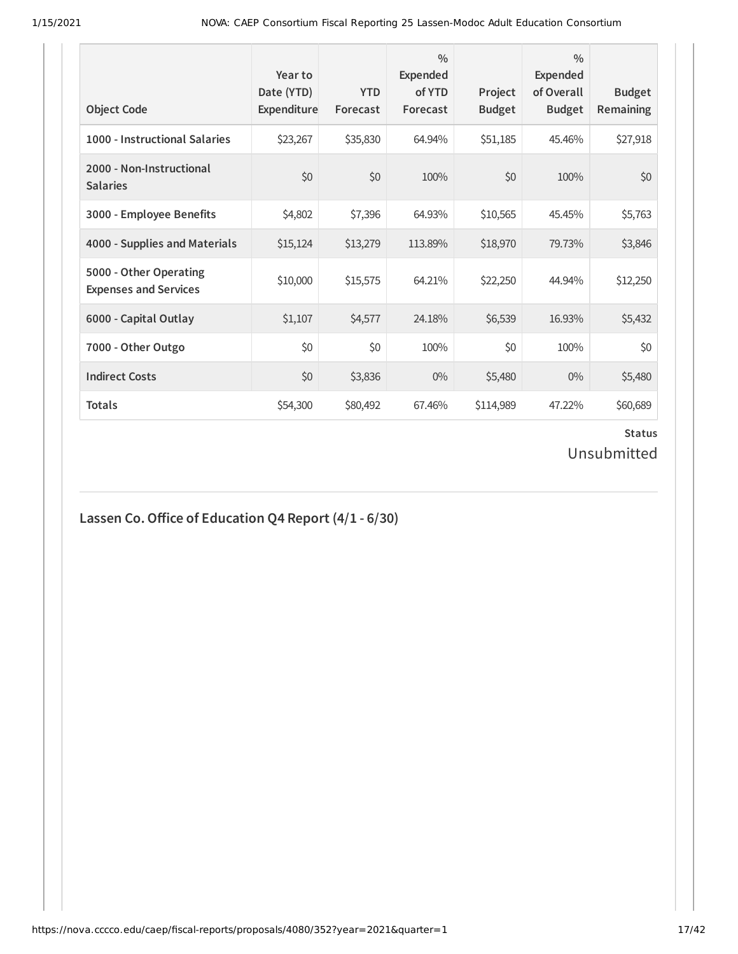| <b>Object Code</b>                                     | Year to<br>Date (YTD)<br>Expenditure | <b>YTD</b><br>Forecast | $\frac{0}{0}$<br><b>Expended</b><br>of YTD<br>Forecast | Project<br><b>Budget</b> | $\frac{0}{0}$<br><b>Expended</b><br>of Overall<br><b>Budget</b> | <b>Budget</b><br><b>Remaining</b> |
|--------------------------------------------------------|--------------------------------------|------------------------|--------------------------------------------------------|--------------------------|-----------------------------------------------------------------|-----------------------------------|
| 1000 - Instructional Salaries                          | \$23,267                             | \$35,830               | 64.94%                                                 | \$51,185                 | 45.46%                                                          | \$27,918                          |
| 2000 - Non-Instructional<br><b>Salaries</b>            | \$0                                  | \$0                    | 100%                                                   | \$0                      | 100%                                                            | \$0                               |
| 3000 - Employee Benefits                               | \$4,802                              | \$7,396                | 64.93%                                                 | \$10,565                 | 45.45%                                                          | \$5,763                           |
| 4000 - Supplies and Materials                          | \$15,124                             | \$13,279               | 113.89%                                                | \$18,970                 | 79.73%                                                          | \$3,846                           |
| 5000 - Other Operating<br><b>Expenses and Services</b> | \$10,000                             | \$15,575               | 64.21%                                                 | \$22,250                 | 44.94%                                                          | \$12,250                          |
| 6000 - Capital Outlay                                  | \$1,107                              | \$4,577                | 24.18%                                                 | \$6,539                  | 16.93%                                                          | \$5,432                           |
| 7000 - Other Outgo                                     | \$0                                  | \$0                    | 100%                                                   | \$0                      | 100%                                                            | \$0                               |
| <b>Indirect Costs</b>                                  | \$0                                  | \$3,836                | $0\%$                                                  | \$5,480                  | $0\%$                                                           | \$5,480                           |
| <b>Totals</b>                                          | \$54,300                             | \$80,492               | 67.46%                                                 | \$114,989                | 47.22%                                                          | \$60,689                          |

# **Lassen Co.Oice of Education Q4 Report (4/1 - 6/30)**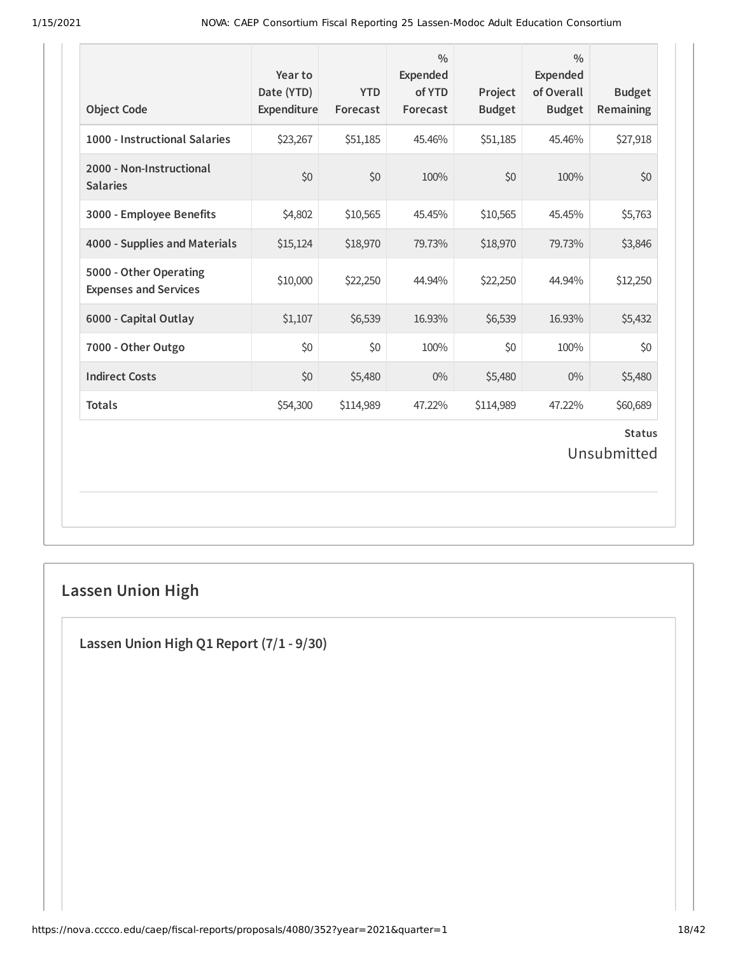| 1000 - Instructional Salaries<br>2000 - Non-Instructional | \$23,267 |           |        | <b>Budget</b> | <b>Budget</b> | Remaining                    |
|-----------------------------------------------------------|----------|-----------|--------|---------------|---------------|------------------------------|
|                                                           |          | \$51,185  | 45.46% | \$51,185      | 45.46%        | \$27,918                     |
| <b>Salaries</b>                                           | \$0      | \$0       | 100%   | \$0           | 100%          | \$0                          |
| 3000 - Employee Benefits                                  | \$4,802  | \$10,565  | 45.45% | \$10,565      | 45.45%        | \$5,763                      |
| 4000 - Supplies and Materials                             | \$15,124 | \$18,970  | 79.73% | \$18,970      | 79.73%        | \$3,846                      |
| 5000 - Other Operating<br><b>Expenses and Services</b>    | \$10,000 | \$22,250  | 44.94% | \$22,250      | 44.94%        | \$12,250                     |
| 6000 - Capital Outlay                                     | \$1,107  | \$6,539   | 16.93% | \$6,539       | 16.93%        | \$5,432                      |
| 7000 - Other Outgo                                        | \$0      | \$0       | 100%   | \$0           | 100%          | \$0                          |
| <b>Indirect Costs</b>                                     | \$0      | \$5,480   | $0\%$  | \$5,480       | $0\%$         | \$5,480                      |
| <b>Totals</b>                                             | \$54,300 | \$114,989 | 47.22% | \$114,989     | 47.22%        | \$60,689                     |
|                                                           |          |           |        |               |               | <b>Status</b><br>Unsubmitted |

# **Lassen Union High**

**Lassen Union High Q1 Report (7/1 - 9/30)**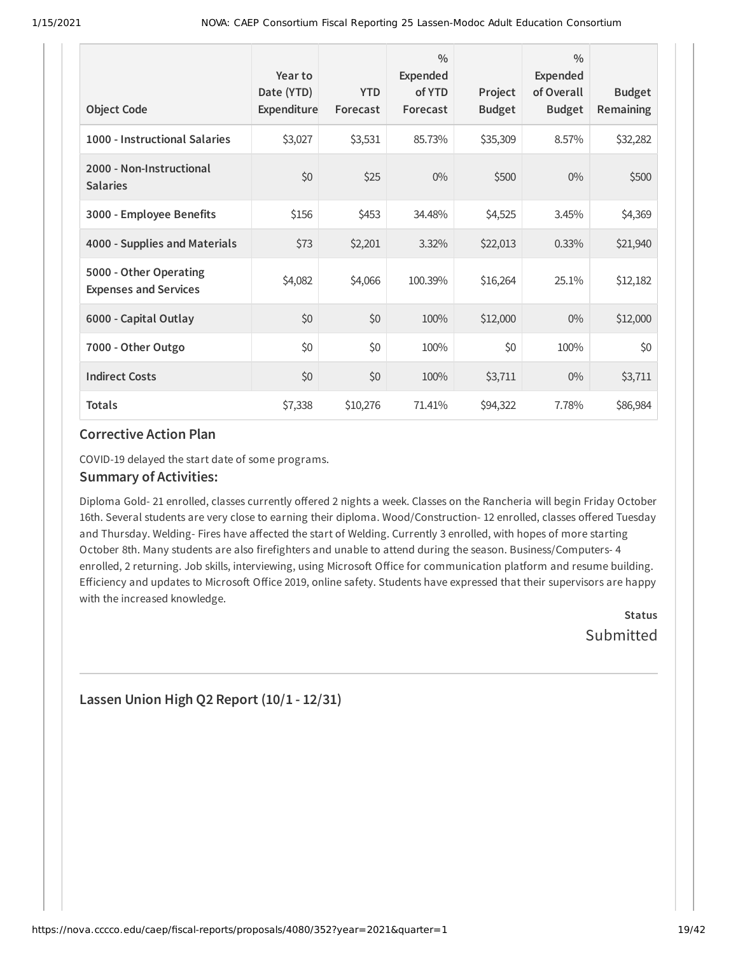| <b>Object Code</b>                                     | Year to<br>Date (YTD)<br>Expenditure | <b>YTD</b><br>Forecast | $\frac{0}{0}$<br><b>Expended</b><br>of YTD<br>Forecast | Project<br><b>Budget</b> | $\frac{0}{0}$<br>Expended<br>of Overall<br><b>Budget</b> | <b>Budget</b><br>Remaining |
|--------------------------------------------------------|--------------------------------------|------------------------|--------------------------------------------------------|--------------------------|----------------------------------------------------------|----------------------------|
| 1000 - Instructional Salaries                          | \$3,027                              | \$3,531                | 85.73%                                                 | \$35,309                 | 8.57%                                                    | \$32,282                   |
| 2000 - Non-Instructional<br><b>Salaries</b>            | \$0                                  | \$25                   | $0\%$                                                  | \$500                    | $0\%$                                                    | \$500                      |
| 3000 - Employee Benefits                               | \$156                                | \$453                  | 34.48%                                                 | \$4,525                  | 3.45%                                                    | \$4,369                    |
| 4000 - Supplies and Materials                          | \$73                                 | \$2,201                | 3.32%                                                  | \$22,013                 | 0.33%                                                    | \$21,940                   |
| 5000 - Other Operating<br><b>Expenses and Services</b> | \$4,082                              | \$4,066                | 100.39%                                                | \$16,264                 | 25.1%                                                    | \$12,182                   |
| 6000 - Capital Outlay                                  | \$0                                  | \$0                    | 100%                                                   | \$12,000                 | $0\%$                                                    | \$12,000                   |
| 7000 - Other Outgo                                     | \$0                                  | \$0                    | 100%                                                   | \$0                      | 100%                                                     | \$0                        |
| <b>Indirect Costs</b>                                  | \$0                                  | \$0                    | 100%                                                   | \$3,711                  | $0\%$                                                    | \$3,711                    |
| <b>Totals</b>                                          | \$7,338                              | \$10,276               | 71.41%                                                 | \$94,322                 | 7.78%                                                    | \$86,984                   |

COVID-19 delayed the start date of some programs.

#### **Summary of Activities:**

Diploma Gold- 21 enrolled, classes currently offered 2 nights a week. Classes on the Rancheria will begin Friday October 16th. Several students are very close to earning their diploma. Wood/Construction-12 enrolled, classes offered Tuesday and Thursday. Welding- Fires have affected the start of Welding. Currently 3 enrolled, with hopes of more starting October 8th. Many students are also firefighters and unable to attend during the season. Business/Computers- 4 enrolled, 2 returning. Job skills, interviewing, using Microsoft Office for communication platform and resume building. Efficiency and updates to Microsoft Office 2019, online safety. Students have expressed that their supervisors are happy with the increased knowledge.

> **Status Submitted**

#### **Lassen Union High Q2 Report (10/1 - 12/31)**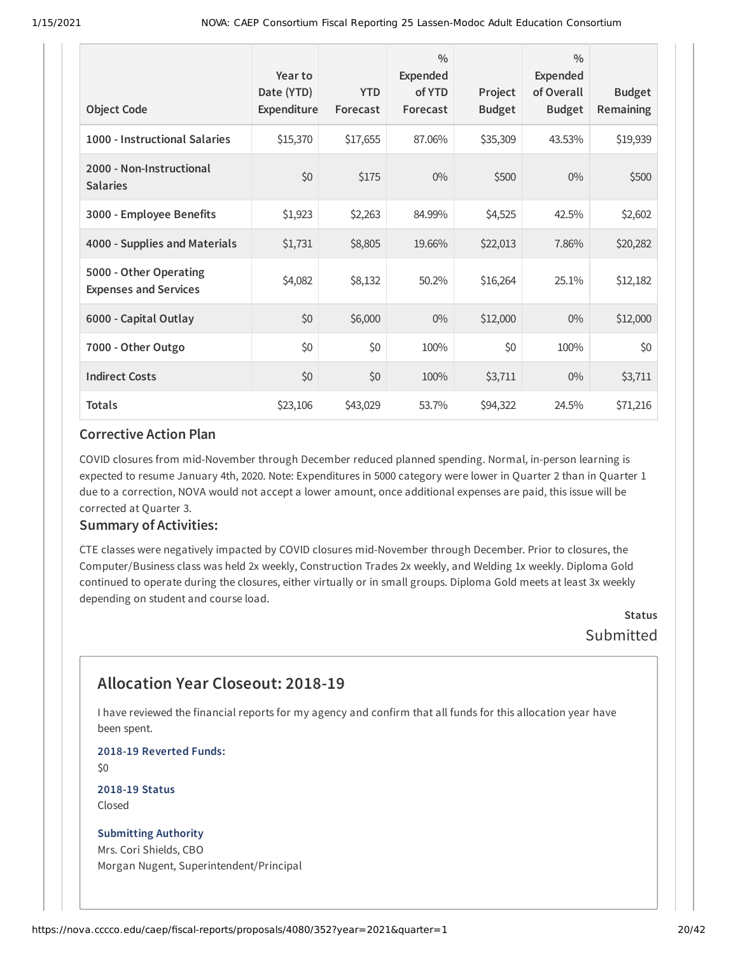| <b>Object Code</b>                                     | Year to<br>Date (YTD)<br><b>Expenditure</b> | <b>YTD</b><br>Forecast | $\frac{0}{0}$<br>Expended<br>of YTD<br>Forecast | Project<br><b>Budget</b> | $\frac{0}{0}$<br>Expended<br>of Overall<br><b>Budget</b> | <b>Budget</b><br>Remaining |
|--------------------------------------------------------|---------------------------------------------|------------------------|-------------------------------------------------|--------------------------|----------------------------------------------------------|----------------------------|
| 1000 - Instructional Salaries                          | \$15,370                                    | \$17,655               | 87.06%                                          | \$35,309                 | 43.53%                                                   | \$19,939                   |
| 2000 - Non-Instructional<br><b>Salaries</b>            | \$0                                         | \$175                  | $0\%$                                           | \$500                    | $0\%$                                                    | \$500                      |
| 3000 - Employee Benefits                               | \$1,923                                     | \$2,263                | 84.99%                                          | \$4,525                  | 42.5%                                                    | \$2,602                    |
| 4000 - Supplies and Materials                          | \$1,731                                     | \$8,805                | 19.66%                                          | \$22,013                 | 7.86%                                                    | \$20,282                   |
| 5000 - Other Operating<br><b>Expenses and Services</b> | \$4,082                                     | \$8,132                | 50.2%                                           | \$16,264                 | 25.1%                                                    | \$12,182                   |
| 6000 - Capital Outlay                                  | \$0                                         | \$6,000                | $0\%$                                           | \$12,000                 | $0\%$                                                    | \$12,000                   |
| 7000 - Other Outgo                                     | \$0                                         | \$0                    | 100%                                            | \$0                      | 100%                                                     | \$0                        |
| <b>Indirect Costs</b>                                  | \$0                                         | \$0                    | 100%                                            | \$3,711                  | $0\%$                                                    | \$3,711                    |
| <b>Totals</b>                                          | \$23,106                                    | \$43,029               | 53.7%                                           | \$94,322                 | 24.5%                                                    | \$71,216                   |

COVID closures from mid-November through December reduced planned spending. Normal, in-person learning is expected to resume January 4th, 2020. Note: Expenditures in 5000 category were lower in Quarter 2 than in Quarter 1 due to a correction, NOVA would not accept a lower amount, once additional expenses are paid, this issue will be corrected at Quarter 3.

#### **Summary of Activities:**

CTE classes were negatively impacted by COVID closures mid-November through December. Prior to closures, the Computer/Business class was held 2x weekly, Construction Trades 2x weekly, and Welding 1x weekly. Diploma Gold continued to operate during the closures, either virtually or in small groups. Diploma Gold meets at least 3x weekly depending on student and course load.

> **Status Submitted**

# **Allocation Year Closeout: 2018-19**

I have reviewed the financial reports for my agency and confirm that all funds for this allocation year have been spent.

**2018-19 Reverted Funds:**

\$0

**2018-19 Status** Closed

#### **Submitting Authority**

Mrs. Cori Shields, CBO Morgan Nugent, Superintendent/Principal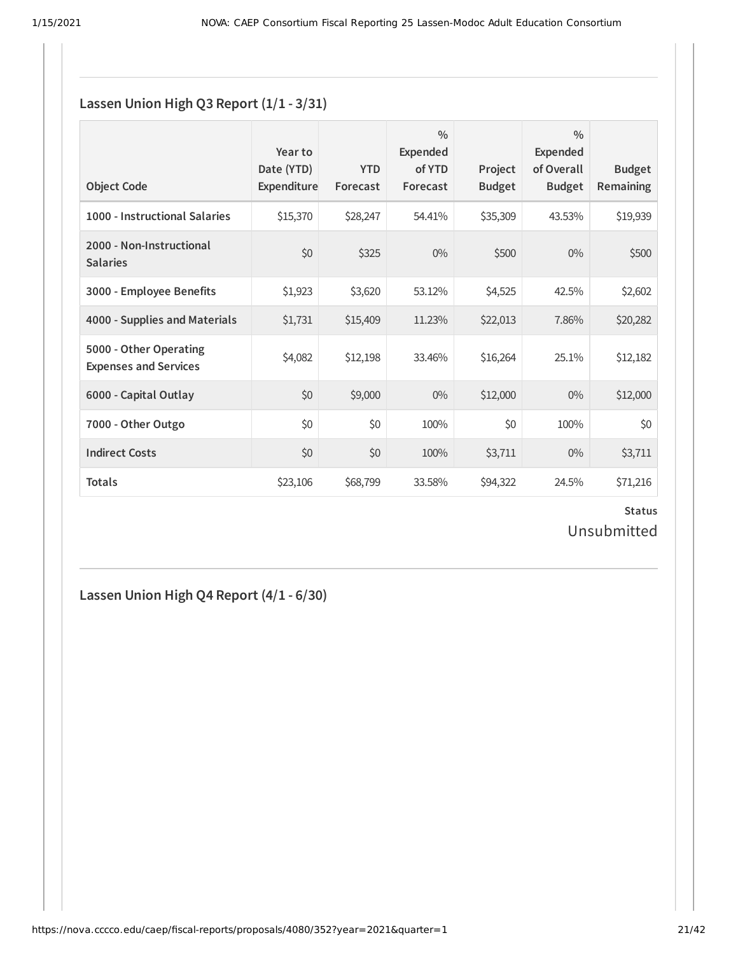#### **Lassen Union High Q3 Report (1/1 - 3/31)**

| <b>Object Code</b>                                     | Year to<br>Date (YTD)<br>Expenditure | <b>YTD</b><br>Forecast | $\frac{0}{0}$<br>Expended<br>of YTD<br>Forecast | Project<br><b>Budget</b> | $\frac{0}{0}$<br>Expended<br>of Overall<br><b>Budget</b> | <b>Budget</b><br><b>Remaining</b> |
|--------------------------------------------------------|--------------------------------------|------------------------|-------------------------------------------------|--------------------------|----------------------------------------------------------|-----------------------------------|
| 1000 - Instructional Salaries                          | \$15,370                             | \$28,247               | 54.41%                                          | \$35,309                 | 43.53%                                                   | \$19,939                          |
| 2000 - Non-Instructional<br><b>Salaries</b>            | \$0                                  | \$325                  | $0\%$                                           | \$500                    | $0\%$                                                    | \$500                             |
| 3000 - Employee Benefits                               | \$1,923                              | \$3,620                | 53.12%                                          | \$4,525                  | 42.5%                                                    | \$2,602                           |
| 4000 - Supplies and Materials                          | \$1,731                              | \$15,409               | 11.23%                                          | \$22,013                 | 7.86%                                                    | \$20,282                          |
| 5000 - Other Operating<br><b>Expenses and Services</b> | \$4,082                              | \$12,198               | 33.46%                                          | \$16,264                 | 25.1%                                                    | \$12,182                          |
| 6000 - Capital Outlay                                  | \$0                                  | \$9,000                | $0\%$                                           | \$12,000                 | $0\%$                                                    | \$12,000                          |
| 7000 - Other Outgo                                     | \$0                                  | \$0                    | 100%                                            | \$0                      | 100%                                                     | \$0                               |
| <b>Indirect Costs</b>                                  | \$0                                  | \$0                    | 100%                                            | \$3,711                  | $0\%$                                                    | \$3,711                           |
| <b>Totals</b>                                          | \$23,106                             | \$68,799               | 33.58%                                          | \$94,322                 | 24.5%                                                    | \$71,216                          |

**Status** Unsubmitted

**Lassen Union High Q4 Report (4/1 - 6/30)**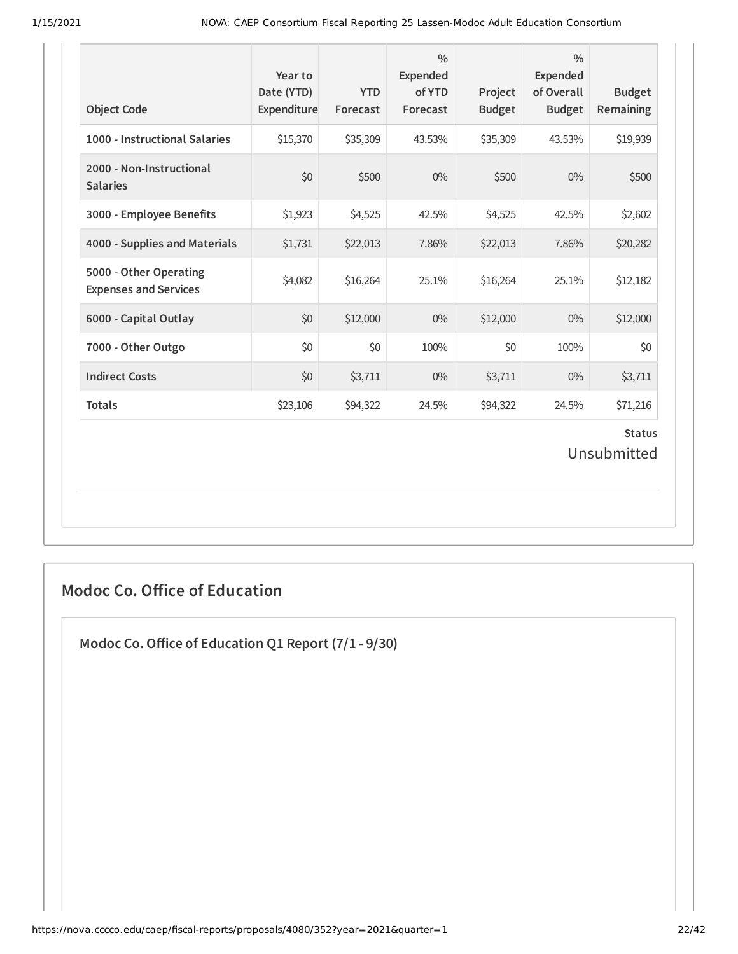| <b>Object Code</b>                                     | Year to<br>Date (YTD)<br>Expenditure | <b>YTD</b><br>Forecast | $\frac{0}{0}$<br><b>Expended</b><br>of YTD<br>Forecast | Project<br><b>Budget</b> | $\frac{0}{0}$<br><b>Expended</b><br>of Overall<br><b>Budget</b> | <b>Budget</b><br>Remaining   |
|--------------------------------------------------------|--------------------------------------|------------------------|--------------------------------------------------------|--------------------------|-----------------------------------------------------------------|------------------------------|
| 1000 - Instructional Salaries                          | \$15,370                             | \$35,309               | 43.53%                                                 | \$35,309                 | 43.53%                                                          | \$19,939                     |
| 2000 - Non-Instructional<br><b>Salaries</b>            | \$0                                  | \$500                  | $0\%$                                                  | \$500                    | $0\%$                                                           | \$500                        |
| 3000 - Employee Benefits                               | \$1,923                              | \$4,525                | 42.5%                                                  | \$4,525                  | 42.5%                                                           | \$2,602                      |
| 4000 - Supplies and Materials                          | \$1,731                              | \$22,013               | 7.86%                                                  | \$22,013                 | 7.86%                                                           | \$20,282                     |
| 5000 - Other Operating<br><b>Expenses and Services</b> | \$4,082                              | \$16,264               | 25.1%                                                  | \$16,264                 | 25.1%                                                           | \$12,182                     |
| 6000 - Capital Outlay                                  | \$0                                  | \$12,000               | $0\%$                                                  | \$12,000                 | $0\%$                                                           | \$12,000                     |
| 7000 - Other Outgo                                     | \$0                                  | \$0                    | 100%                                                   | \$0                      | 100%                                                            | \$0                          |
| <b>Indirect Costs</b>                                  | \$0                                  | \$3,711                | $0\%$                                                  | \$3,711                  | $0\%$                                                           | \$3,711                      |
| <b>Totals</b>                                          | \$23,106                             | \$94,322               | 24.5%                                                  | \$94,322                 | 24.5%                                                           | \$71,216                     |
|                                                        |                                      |                        |                                                        |                          |                                                                 | <b>Status</b><br>Unsubmitted |

## **Modoc Co. Office of Education**

**Modoc Co.Oice of Education Q1 Report (7/1 - 9/30)**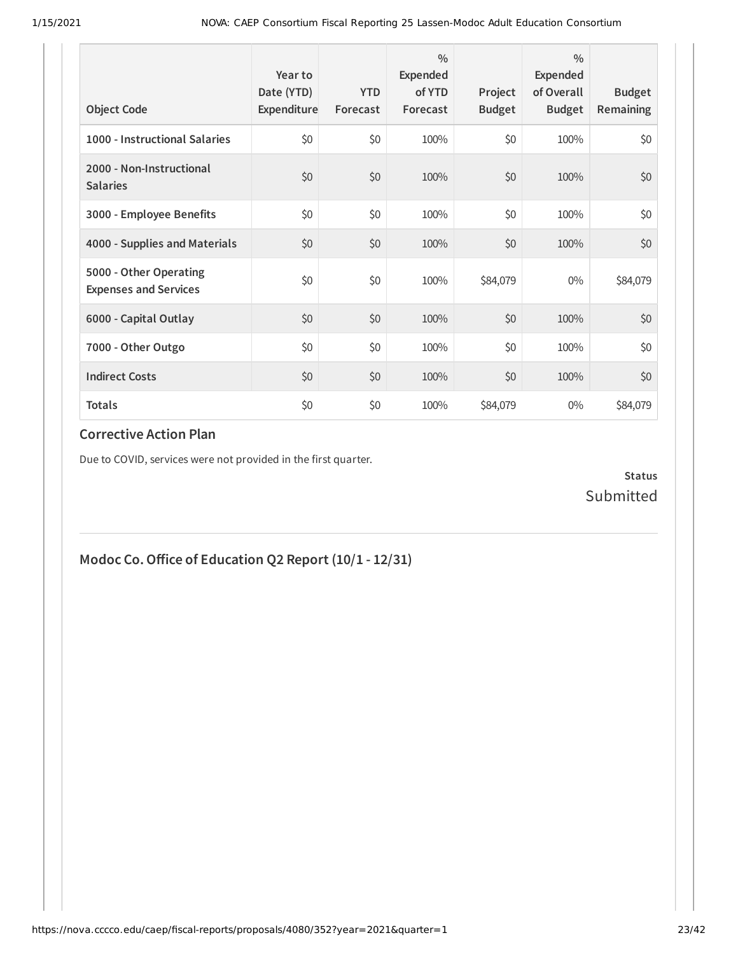| <b>Object Code</b>                                     | Year to<br>Date (YTD)<br>Expenditure | <b>YTD</b><br>Forecast | $\frac{0}{0}$<br>Expended<br>of YTD<br>Forecast | Project<br><b>Budget</b> | $\frac{0}{0}$<br>Expended<br>of Overall<br><b>Budget</b> | <b>Budget</b><br><b>Remaining</b> |
|--------------------------------------------------------|--------------------------------------|------------------------|-------------------------------------------------|--------------------------|----------------------------------------------------------|-----------------------------------|
| 1000 - Instructional Salaries                          | \$0                                  | \$0                    | 100%                                            | \$0                      | 100%                                                     | \$0                               |
| 2000 - Non-Instructional<br><b>Salaries</b>            | \$0                                  | \$0                    | 100%                                            | \$0                      | 100%                                                     | \$0                               |
| 3000 - Employee Benefits                               | \$0                                  | \$0                    | 100%                                            | \$0                      | 100%                                                     | \$0                               |
| 4000 - Supplies and Materials                          | \$0                                  | \$0                    | 100%                                            | \$0                      | 100%                                                     | \$0                               |
| 5000 - Other Operating<br><b>Expenses and Services</b> | \$0                                  | \$0                    | 100%                                            | \$84,079                 | $0\%$                                                    | \$84,079                          |
| 6000 - Capital Outlay                                  | \$0                                  | \$0                    | 100%                                            | \$0                      | 100%                                                     | \$0                               |
| 7000 - Other Outgo                                     | \$0                                  | \$0                    | 100%                                            | \$0                      | 100%                                                     | \$0                               |
| <b>Indirect Costs</b>                                  | \$0                                  | \$0                    | 100%                                            | \$0                      | 100%                                                     | \$0                               |
| <b>Totals</b>                                          | \$0                                  | \$0                    | 100%                                            | \$84,079                 | $0\%$                                                    | \$84,079                          |

Due to COVID, services were not provided in the first quarter.

**Status** Submitted

# **Modoc Co.Oice of Education Q2 Report (10/1 - 12/31)**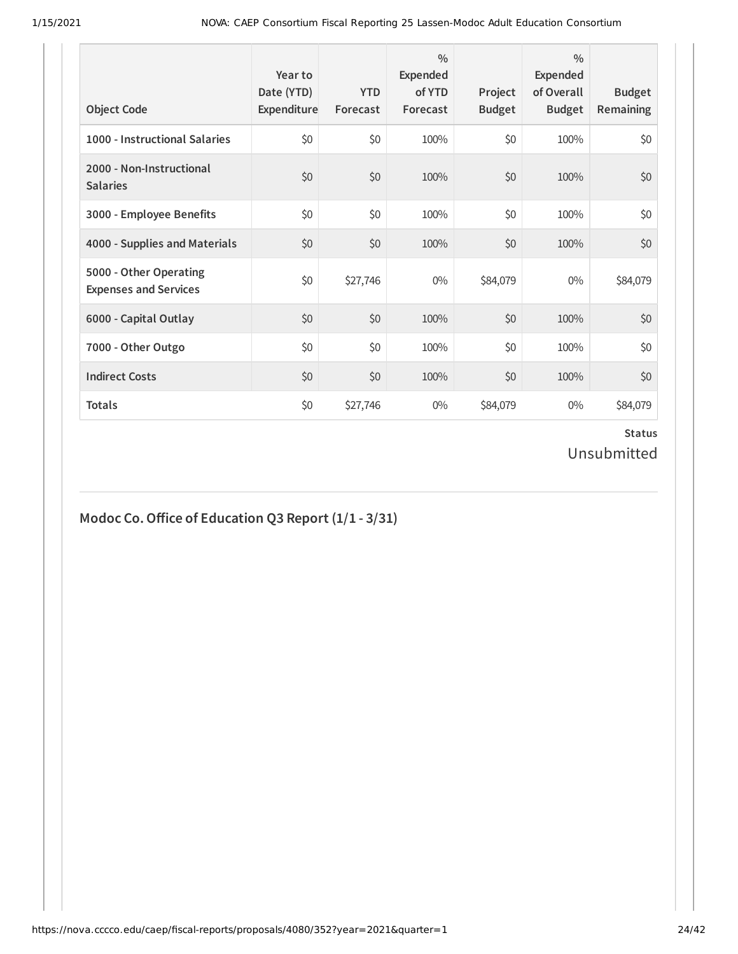| <b>Object Code</b>                                     | Year to<br>Date (YTD)<br>Expenditure | <b>YTD</b><br>Forecast | $\frac{0}{0}$<br>Expended<br>of YTD<br>Forecast | Project<br><b>Budget</b> | $\frac{0}{0}$<br>Expended<br>of Overall<br><b>Budget</b> | <b>Budget</b><br><b>Remaining</b> |
|--------------------------------------------------------|--------------------------------------|------------------------|-------------------------------------------------|--------------------------|----------------------------------------------------------|-----------------------------------|
| 1000 - Instructional Salaries                          | \$0                                  | \$0                    | 100%                                            | \$0                      | 100%                                                     | \$0                               |
| 2000 - Non-Instructional<br><b>Salaries</b>            | \$0                                  | \$0                    | 100%                                            | \$0                      | 100%                                                     | \$0                               |
| 3000 - Employee Benefits                               | \$0                                  | \$0                    | 100%                                            | \$0                      | 100%                                                     | \$0                               |
| 4000 - Supplies and Materials                          | \$0                                  | \$0                    | 100%                                            | \$0                      | 100%                                                     | \$0                               |
| 5000 - Other Operating<br><b>Expenses and Services</b> | \$0                                  | \$27,746               | $0\%$                                           | \$84,079                 | $0\%$                                                    | \$84,079                          |
| 6000 - Capital Outlay                                  | \$0                                  | \$0                    | 100%                                            | \$0                      | 100%                                                     | \$0                               |
| 7000 - Other Outgo                                     | \$0                                  | \$0                    | 100%                                            | \$0                      | 100%                                                     | \$0                               |
| <b>Indirect Costs</b>                                  | \$0                                  | \$0                    | 100%                                            | \$0                      | 100%                                                     | \$0                               |
| <b>Totals</b>                                          | \$0                                  | \$27,746               | 0%                                              | \$84,079                 | 0%                                                       | \$84,079                          |

#### **Modoc Co.Oice of Education Q3 Report (1/1 - 3/31)**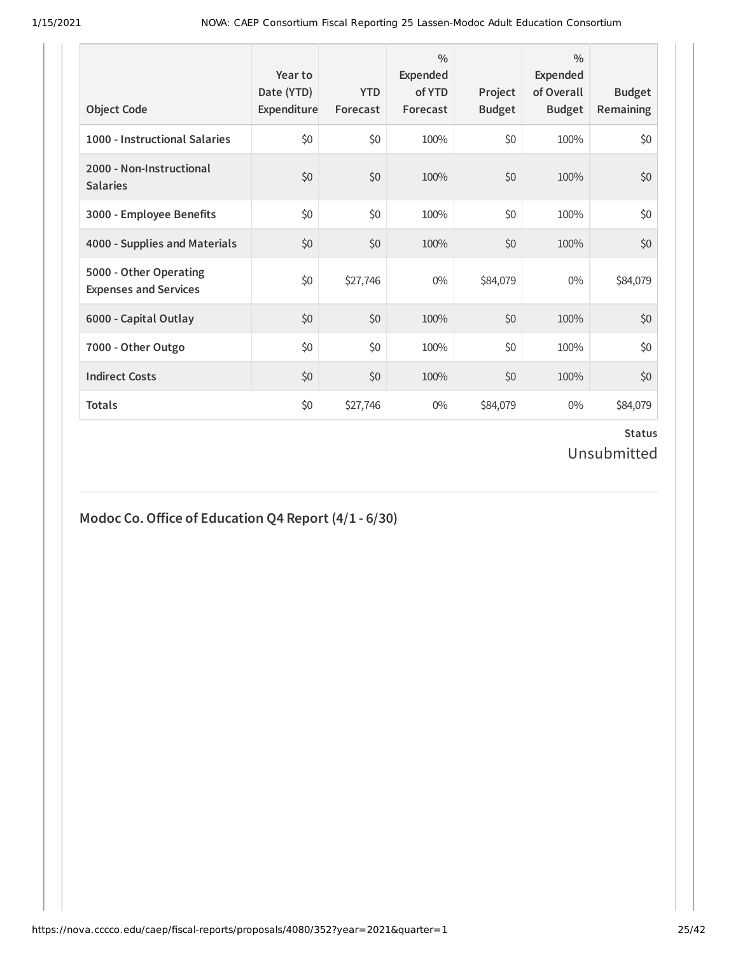| <b>Object Code</b>                                     | Year to<br>Date (YTD)<br>Expenditure | <b>YTD</b><br>Forecast | $\frac{0}{0}$<br>Expended<br>of YTD<br>Forecast | Project<br><b>Budget</b> | $\frac{0}{0}$<br>Expended<br>of Overall<br><b>Budget</b> | <b>Budget</b><br><b>Remaining</b> |
|--------------------------------------------------------|--------------------------------------|------------------------|-------------------------------------------------|--------------------------|----------------------------------------------------------|-----------------------------------|
| 1000 - Instructional Salaries                          | \$0                                  | \$0                    | 100%                                            | \$0                      | 100%                                                     | \$0                               |
| 2000 - Non-Instructional<br><b>Salaries</b>            | \$0                                  | \$0                    | 100%                                            | \$0                      | 100%                                                     | \$0                               |
| 3000 - Employee Benefits                               | \$0                                  | \$0                    | 100%                                            | \$0                      | 100%                                                     | \$0                               |
| 4000 - Supplies and Materials                          | \$0                                  | \$0                    | 100%                                            | \$0                      | 100%                                                     | \$0                               |
| 5000 - Other Operating<br><b>Expenses and Services</b> | \$0                                  | \$27,746               | $0\%$                                           | \$84,079                 | $0\%$                                                    | \$84,079                          |
| 6000 - Capital Outlay                                  | \$0                                  | \$0                    | 100%                                            | \$0                      | 100%                                                     | \$0                               |
| 7000 - Other Outgo                                     | \$0                                  | \$0                    | 100%                                            | \$0                      | 100%                                                     | \$0                               |
| <b>Indirect Costs</b>                                  | \$0                                  | \$0                    | 100%                                            | \$0                      | 100%                                                     | \$0                               |
| <b>Totals</b>                                          | \$0                                  | \$27,746               | $0\%$                                           | \$84,079                 | $0\%$                                                    | \$84,079                          |

#### **Modoc Co.Oice of Education Q4 Report (4/1 - 6/30)**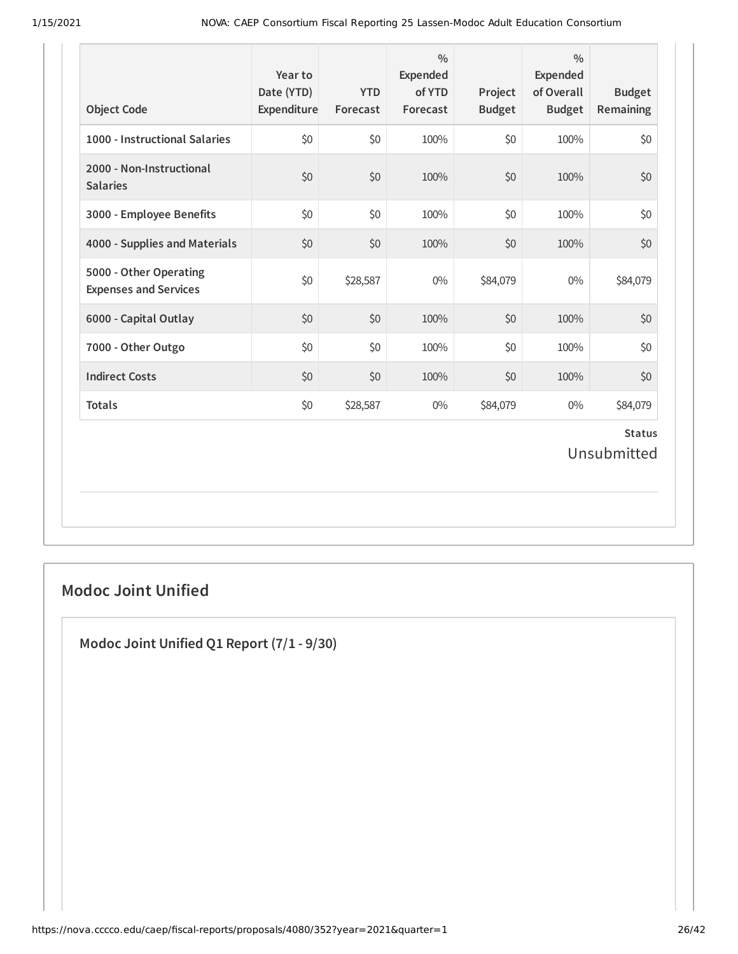| <b>Object Code</b>                                     | Year to<br>Date (YTD)<br>Expenditure | <b>YTD</b><br>Forecast | $\frac{0}{0}$<br>Expended<br>of YTD<br>Forecast | Project<br><b>Budget</b> | $\frac{0}{0}$<br>Expended<br>of Overall<br><b>Budget</b> | <b>Budget</b><br>Remaining   |
|--------------------------------------------------------|--------------------------------------|------------------------|-------------------------------------------------|--------------------------|----------------------------------------------------------|------------------------------|
| 1000 - Instructional Salaries                          | \$0                                  | \$0                    | 100%                                            | \$0                      | 100%                                                     | \$0                          |
| 2000 - Non-Instructional<br><b>Salaries</b>            | \$0                                  | \$0                    | 100%                                            | \$0                      | 100%                                                     | \$0                          |
| 3000 - Employee Benefits                               | \$0                                  | \$0                    | 100%                                            | \$0                      | 100%                                                     | \$0                          |
| 4000 - Supplies and Materials                          | \$0                                  | \$0                    | 100%                                            | \$0                      | 100%                                                     | \$0                          |
| 5000 - Other Operating<br><b>Expenses and Services</b> | \$0                                  | \$28,587               | $0\%$                                           | \$84,079                 | $0\%$                                                    | \$84,079                     |
| 6000 - Capital Outlay                                  | \$0                                  | \$0                    | 100%                                            | \$0                      | 100%                                                     | \$0                          |
| 7000 - Other Outgo                                     | \$0                                  | \$0                    | 100%                                            | \$0                      | 100%                                                     | \$0                          |
| <b>Indirect Costs</b>                                  | \$0                                  | \$0                    | 100%                                            | \$0                      | 100%                                                     | \$0                          |
| <b>Totals</b>                                          | \$0                                  | \$28,587               | $0\%$                                           | \$84,079                 | $0\%$                                                    | \$84,079                     |
|                                                        |                                      |                        |                                                 |                          |                                                          | <b>Status</b><br>Unsubmitted |

## **Modoc Joint Unified**

**Modoc Joint Unified Q1 Report (7/1 - 9/30)**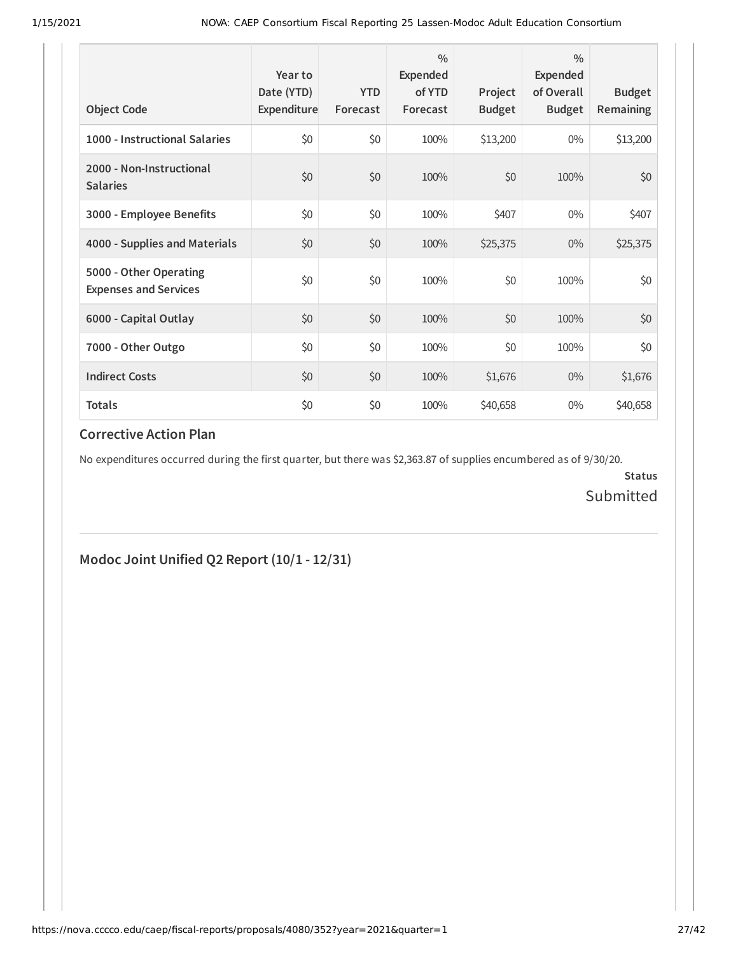| <b>Object Code</b>                                     | Year to<br>Date (YTD)<br>Expenditure | <b>YTD</b><br>Forecast | $\frac{0}{0}$<br>Expended<br>of YTD<br>Forecast | Project<br><b>Budget</b> | $\frac{0}{0}$<br>Expended<br>of Overall<br><b>Budget</b> | <b>Budget</b><br><b>Remaining</b> |
|--------------------------------------------------------|--------------------------------------|------------------------|-------------------------------------------------|--------------------------|----------------------------------------------------------|-----------------------------------|
| 1000 - Instructional Salaries                          | \$0                                  | \$0                    | 100%                                            | \$13,200                 | $0\%$                                                    | \$13,200                          |
| 2000 - Non-Instructional<br><b>Salaries</b>            | \$0                                  | \$0                    | 100%                                            | \$0                      | 100%                                                     | \$0                               |
| 3000 - Employee Benefits                               | \$0                                  | \$0                    | 100%                                            | \$407                    | $0\%$                                                    | \$407                             |
| 4000 - Supplies and Materials                          | \$0                                  | \$0                    | 100%                                            | \$25,375                 | $0\%$                                                    | \$25,375                          |
| 5000 - Other Operating<br><b>Expenses and Services</b> | \$0                                  | \$0                    | 100%                                            | \$0                      | 100%                                                     | \$0                               |
| 6000 - Capital Outlay                                  | \$0                                  | \$0                    | 100%                                            | \$0                      | 100%                                                     | \$0                               |
| 7000 - Other Outgo                                     | \$0                                  | \$0                    | 100%                                            | \$0                      | 100%                                                     | \$0                               |
| <b>Indirect Costs</b>                                  | \$0                                  | \$0                    | 100%                                            | \$1,676                  | $0\%$                                                    | \$1,676                           |
| <b>Totals</b>                                          | \$0                                  | \$0                    | 100%                                            | \$40,658                 | $0\%$                                                    | \$40,658                          |

No expenditures occurred during the first quarter, but there was \$2,363.87 of supplies encumbered as of 9/30/20.

**Status** Submitted

#### **Modoc Joint Unified Q2 Report (10/1 - 12/31)**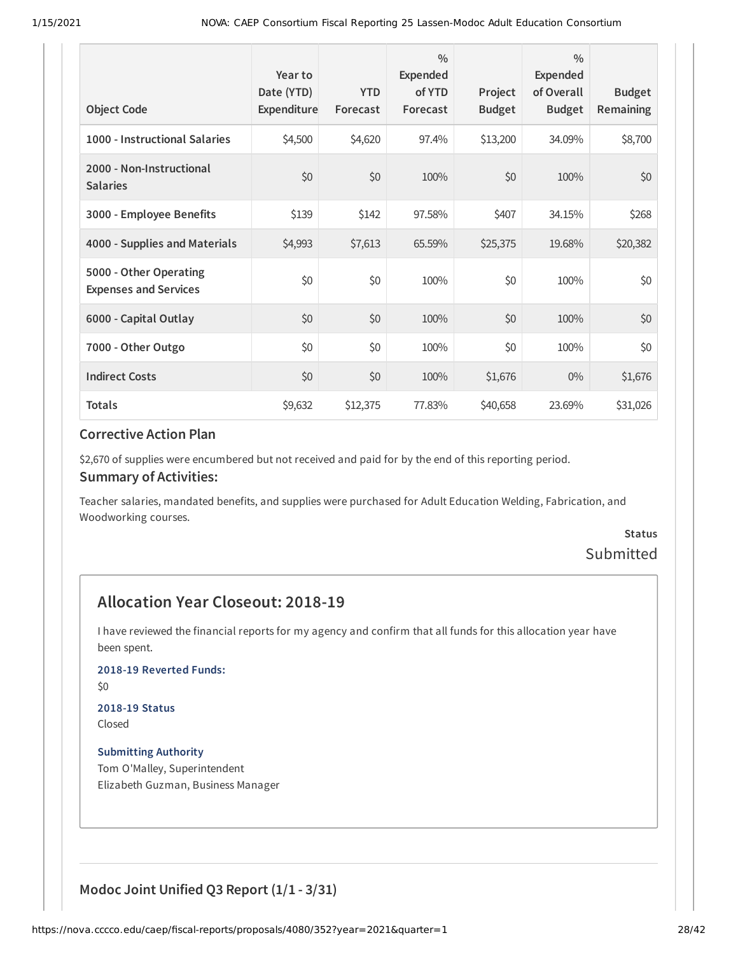| <b>Object Code</b>                                     | Year to<br>Date (YTD)<br>Expenditure | <b>YTD</b><br>Forecast | $\frac{0}{0}$<br>Expended<br>of YTD<br>Forecast | Project<br><b>Budget</b> | $\frac{0}{0}$<br>Expended<br>of Overall<br><b>Budget</b> | <b>Budget</b><br><b>Remaining</b> |
|--------------------------------------------------------|--------------------------------------|------------------------|-------------------------------------------------|--------------------------|----------------------------------------------------------|-----------------------------------|
| 1000 - Instructional Salaries                          | \$4,500                              | \$4,620                | 97.4%                                           | \$13,200                 | 34.09%                                                   | \$8,700                           |
| 2000 - Non-Instructional<br><b>Salaries</b>            | \$0                                  | \$0                    | 100%                                            | \$0                      | 100%                                                     | \$0                               |
| 3000 - Employee Benefits                               | \$139                                | \$142                  | 97.58%                                          | \$407                    | 34.15%                                                   | \$268                             |
| 4000 - Supplies and Materials                          | \$4,993                              | \$7,613                | 65.59%                                          | \$25,375                 | 19.68%                                                   | \$20,382                          |
| 5000 - Other Operating<br><b>Expenses and Services</b> | \$0                                  | \$0                    | 100%                                            | \$0                      | 100%                                                     | \$0                               |
| 6000 - Capital Outlay                                  | \$0                                  | \$0                    | 100%                                            | \$0                      | 100%                                                     | \$0                               |
| 7000 - Other Outgo                                     | \$0                                  | \$0                    | 100%                                            | \$0                      | 100%                                                     | \$0\$                             |
| <b>Indirect Costs</b>                                  | \$0                                  | \$0                    | 100%                                            | \$1,676                  | $0\%$                                                    | \$1,676                           |
| <b>Totals</b>                                          | \$9,632                              | \$12,375               | 77.83%                                          | \$40,658                 | 23.69%                                                   | \$31,026                          |

\$2,670 of supplies were encumbered but not received and paid for by the end of this reporting period.

#### **Summary of Activities:**

Teacher salaries, mandated benefits, and supplies were purchased for Adult Education Welding, Fabrication, and Woodworking courses.

## **Status** Submitted

## **Allocation Year Closeout: 2018-19**

I have reviewed the financial reports for my agency and confirm that all funds for this allocation year have been spent.

**2018-19 Reverted Funds:**

\$0

# **2018-19 Status**

Closed

**Submitting Authority** Tom O'Malley, Superintendent Elizabeth Guzman, Business Manager

**Modoc Joint Unified Q3 Report (1/1 - 3/31)**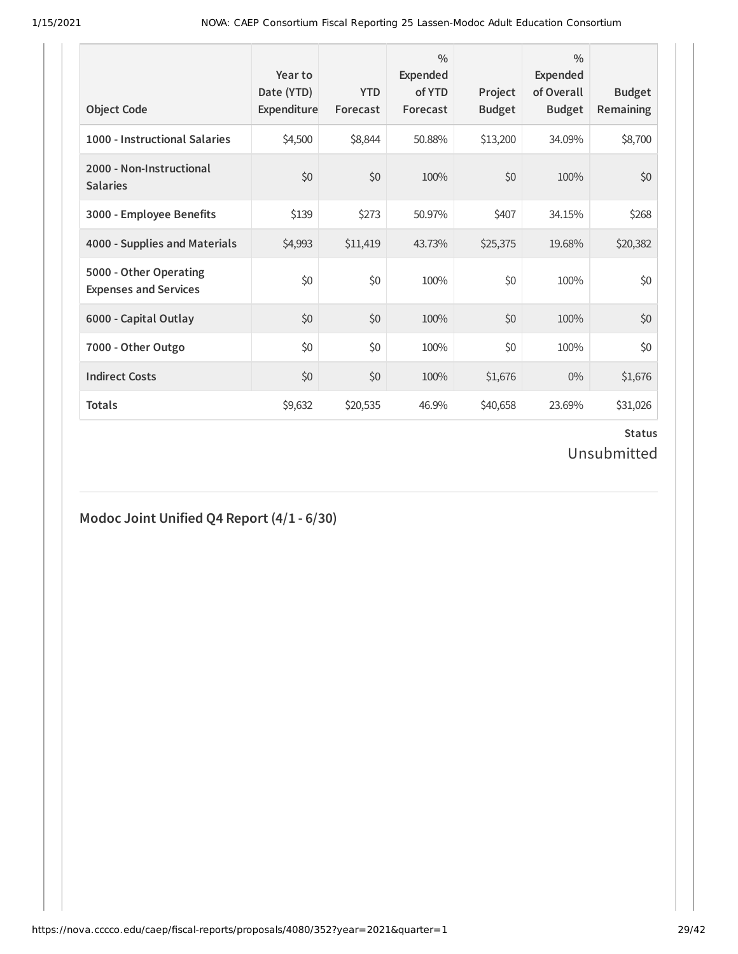| <b>Object Code</b>                                     | Year to<br>Date (YTD)<br>Expenditure | <b>YTD</b><br>Forecast | $\frac{0}{0}$<br><b>Expended</b><br>of YTD<br>Forecast | Project<br><b>Budget</b> | $\frac{0}{0}$<br><b>Expended</b><br>of Overall<br><b>Budget</b> | <b>Budget</b><br>Remaining |
|--------------------------------------------------------|--------------------------------------|------------------------|--------------------------------------------------------|--------------------------|-----------------------------------------------------------------|----------------------------|
| 1000 - Instructional Salaries                          | \$4,500                              | \$8,844                | 50.88%                                                 | \$13,200                 | 34.09%                                                          | \$8,700                    |
| 2000 - Non-Instructional<br><b>Salaries</b>            | \$0                                  | \$0                    | 100%                                                   | \$0                      | 100%                                                            | \$0                        |
| 3000 - Employee Benefits                               | \$139                                | \$273                  | 50.97%                                                 | \$407                    | 34.15%                                                          | \$268                      |
| 4000 - Supplies and Materials                          | \$4,993                              | \$11,419               | 43.73%                                                 | \$25,375                 | 19.68%                                                          | \$20,382                   |
| 5000 - Other Operating<br><b>Expenses and Services</b> | \$0                                  | \$0                    | 100%                                                   | \$0                      | 100%                                                            | \$0                        |
| 6000 - Capital Outlay                                  | \$0                                  | \$0                    | 100%                                                   | \$0                      | 100%                                                            | \$0                        |
| 7000 - Other Outgo                                     | \$0                                  | \$0                    | 100%                                                   | \$0                      | 100%                                                            | \$0                        |
| <b>Indirect Costs</b>                                  | \$0                                  | \$0                    | 100%                                                   | \$1,676                  | $0\%$                                                           | \$1,676                    |
| <b>Totals</b>                                          | \$9,632                              | \$20,535               | 46.9%                                                  | \$40,658                 | 23.69%                                                          | \$31,026                   |

# **Modoc Joint Unified Q4 Report (4/1 - 6/30)**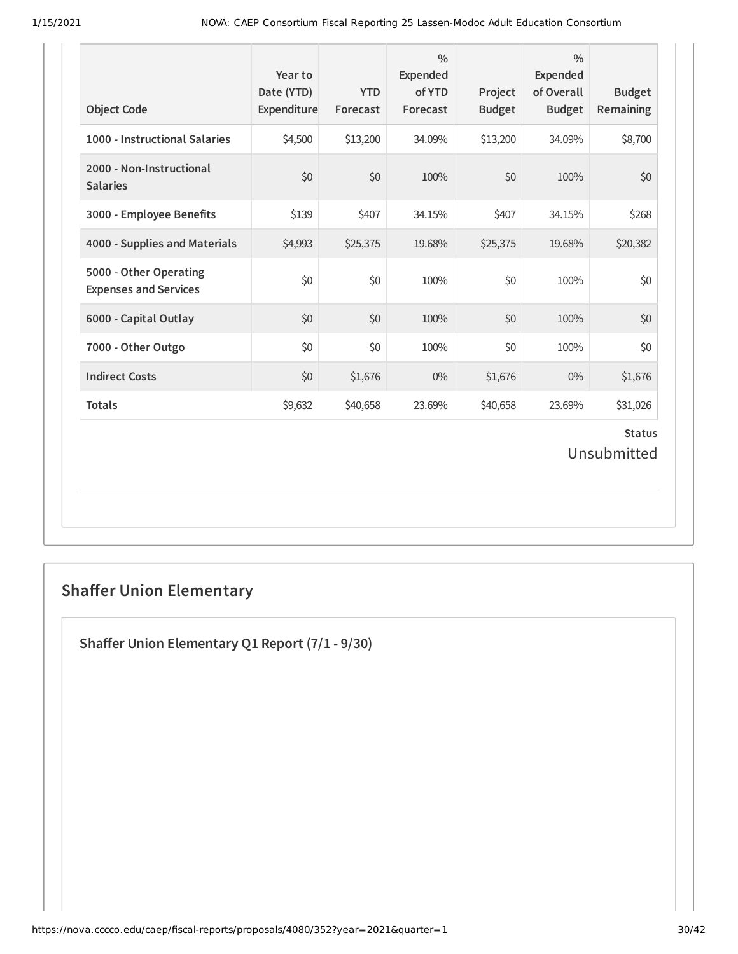| <b>Object Code</b>                                     | Year to<br>Date (YTD)<br>Expenditure | <b>YTD</b><br>Forecast | $\frac{0}{0}$<br>Expended<br>of YTD<br>Forecast | Project<br><b>Budget</b> | $\frac{0}{0}$<br><b>Expended</b><br>of Overall<br><b>Budget</b> | <b>Budget</b><br>Remaining   |
|--------------------------------------------------------|--------------------------------------|------------------------|-------------------------------------------------|--------------------------|-----------------------------------------------------------------|------------------------------|
| 1000 - Instructional Salaries                          | \$4,500                              | \$13,200               | 34.09%                                          | \$13,200                 | 34.09%                                                          | \$8,700                      |
| 2000 - Non-Instructional<br><b>Salaries</b>            | \$0                                  | \$0                    | 100%                                            | \$0                      | 100%                                                            | \$0                          |
| 3000 - Employee Benefits                               | \$139                                | \$407                  | 34.15%                                          | \$407                    | 34.15%                                                          | \$268                        |
| 4000 - Supplies and Materials                          | \$4,993                              | \$25,375               | 19.68%                                          | \$25,375                 | 19.68%                                                          | \$20,382                     |
| 5000 - Other Operating<br><b>Expenses and Services</b> | \$0                                  | \$0                    | 100%                                            | \$0                      | 100%                                                            | \$0                          |
| 6000 - Capital Outlay                                  | \$0                                  | \$0                    | 100%                                            | \$0                      | 100%                                                            | \$0                          |
| 7000 - Other Outgo                                     | \$0                                  | \$0                    | 100%                                            | \$0                      | 100%                                                            | \$0                          |
| <b>Indirect Costs</b>                                  | \$0                                  | \$1,676                | $0\%$                                           | \$1,676                  | $0\%$                                                           | \$1,676                      |
| <b>Totals</b>                                          | \$9,632                              | \$40,658               | 23.69%                                          | \$40,658                 | 23.69%                                                          | \$31,026                     |
|                                                        |                                      |                        |                                                 |                          |                                                                 | <b>Status</b><br>Unsubmitted |

# **Shaffer Union Elementary**

**Shaer Union Elementary Q1 Report (7/1 - 9/30)**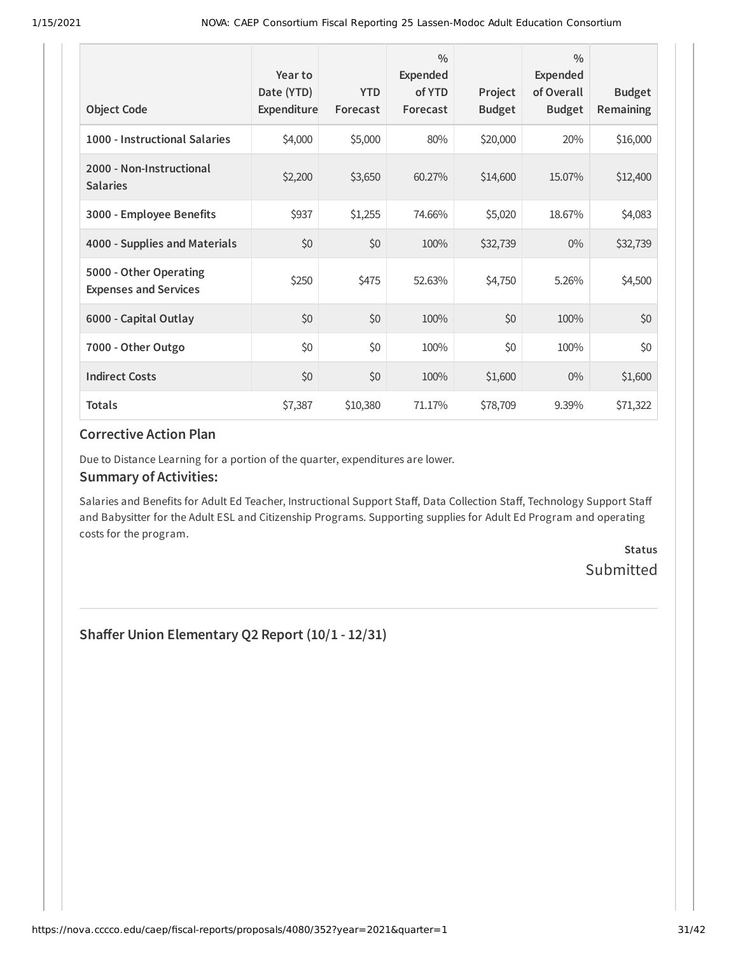| <b>Object Code</b>                                     | Year to<br>Date (YTD)<br>Expenditure | <b>YTD</b><br>Forecast | $\frac{0}{0}$<br>Expended<br>of YTD<br>Forecast | Project<br><b>Budget</b> | $\frac{0}{0}$<br>Expended<br>of Overall<br><b>Budget</b> | <b>Budget</b><br>Remaining |
|--------------------------------------------------------|--------------------------------------|------------------------|-------------------------------------------------|--------------------------|----------------------------------------------------------|----------------------------|
| 1000 - Instructional Salaries                          | \$4,000                              | \$5,000                | 80%                                             | \$20,000                 | 20%                                                      | \$16,000                   |
| 2000 - Non-Instructional<br><b>Salaries</b>            | \$2,200                              | \$3,650                | 60.27%                                          | \$14,600                 | 15.07%                                                   | \$12,400                   |
| 3000 - Employee Benefits                               | \$937                                | \$1,255                | 74.66%                                          | \$5,020                  | 18.67%                                                   | \$4,083                    |
| 4000 - Supplies and Materials                          | \$0                                  | \$0                    | 100%                                            | \$32,739                 | $0\%$                                                    | \$32,739                   |
| 5000 - Other Operating<br><b>Expenses and Services</b> | \$250                                | \$475                  | 52.63%                                          | \$4,750                  | 5.26%                                                    | \$4,500                    |
| 6000 - Capital Outlay                                  | \$0                                  | \$0                    | 100%                                            | \$0                      | 100%                                                     | \$0                        |
| 7000 - Other Outgo                                     | \$0                                  | \$0                    | 100%                                            | \$0                      | 100%                                                     | \$0                        |
| <b>Indirect Costs</b>                                  | \$0                                  | \$0                    | 100%                                            | \$1,600                  | $0\%$                                                    | \$1,600                    |
| <b>Totals</b>                                          | \$7,387                              | \$10,380               | 71.17%                                          | \$78,709                 | 9.39%                                                    | \$71,322                   |

Due to Distance Learning for a portion of the quarter, expenditures are lower.

#### **Summary of Activities:**

Salaries and Benefits for Adult Ed Teacher, Instructional Support Staff, Data Collection Staff, Technology Support Staff and Babysitter for the Adult ESL and Citizenship Programs. Supporting supplies for Adult Ed Program and operating costs for the program.

> **Status** Submitted

**Shaer Union Elementary Q2 Report (10/1 - 12/31)**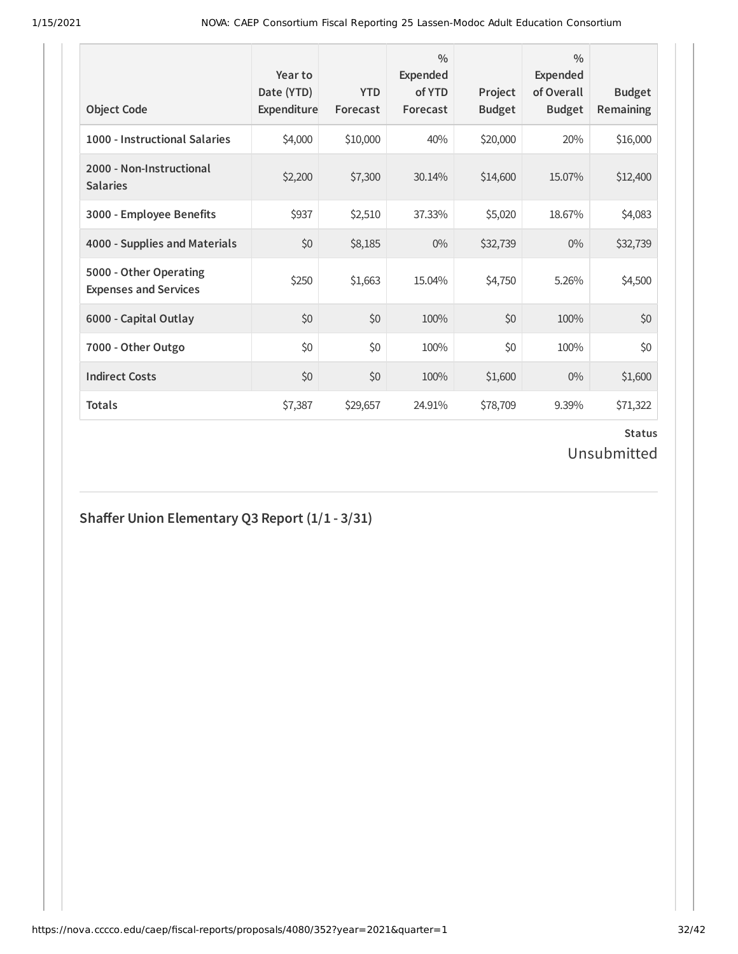| <b>Object Code</b>                                     | Year to<br>Date (YTD)<br>Expenditure | <b>YTD</b><br>Forecast | $\frac{0}{0}$<br>Expended<br>of YTD<br>Forecast | Project<br><b>Budget</b> | $\frac{0}{0}$<br><b>Expended</b><br>of Overall<br><b>Budget</b> | <b>Budget</b><br><b>Remaining</b> |
|--------------------------------------------------------|--------------------------------------|------------------------|-------------------------------------------------|--------------------------|-----------------------------------------------------------------|-----------------------------------|
| 1000 - Instructional Salaries                          | \$4,000                              | \$10,000               | 40%                                             | \$20,000                 | 20%                                                             | \$16,000                          |
| 2000 - Non-Instructional<br><b>Salaries</b>            | \$2,200                              | \$7,300                | 30.14%                                          | \$14,600                 | 15.07%                                                          | \$12,400                          |
| 3000 - Employee Benefits                               | \$937                                | \$2,510                | 37.33%                                          | \$5,020                  | 18.67%                                                          | \$4,083                           |
| 4000 - Supplies and Materials                          | \$0                                  | \$8,185                | $0\%$                                           | \$32,739                 | $0\%$                                                           | \$32,739                          |
| 5000 - Other Operating<br><b>Expenses and Services</b> | \$250                                | \$1,663                | 15.04%                                          | \$4,750                  | 5.26%                                                           | \$4,500                           |
| 6000 - Capital Outlay                                  | \$0                                  | \$0                    | 100%                                            | \$0                      | 100%                                                            | \$0                               |
| 7000 - Other Outgo                                     | \$0                                  | \$0                    | 100%                                            | \$0                      | 100%                                                            | \$0                               |
| <b>Indirect Costs</b>                                  | \$0                                  | \$0                    | 100%                                            | \$1,600                  | $0\%$                                                           | \$1,600                           |
| <b>Totals</b>                                          | \$7,387                              | \$29,657               | 24.91%                                          | \$78,709                 | 9.39%                                                           | \$71,322                          |

# **Shaer Union Elementary Q3 Report (1/1 - 3/31)**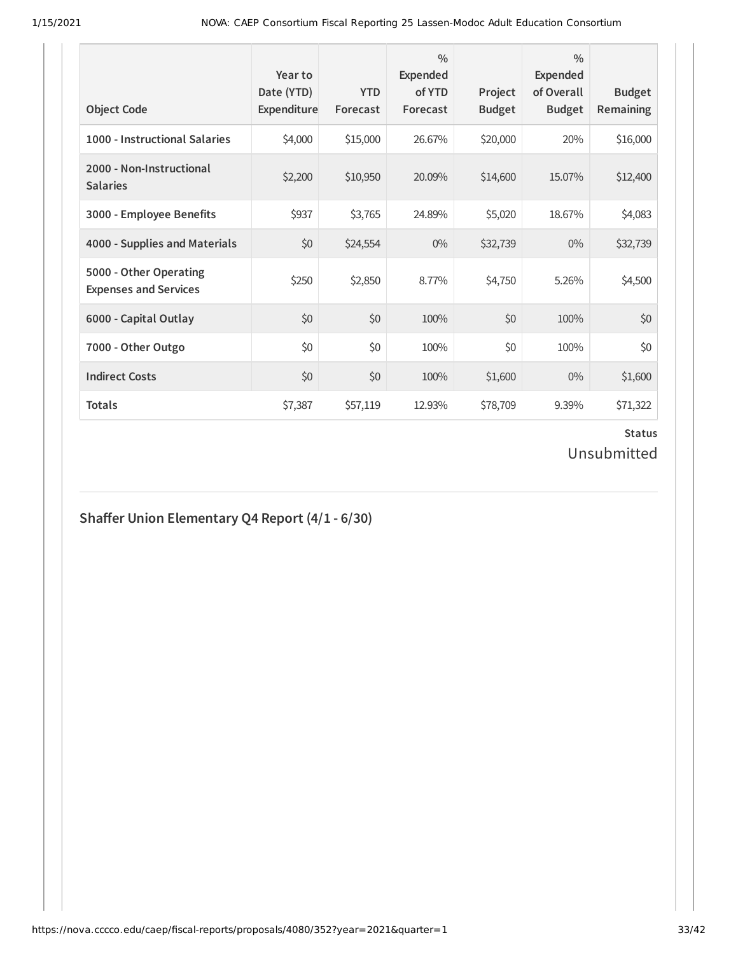| <b>Object Code</b>                                     | Year to<br>Date (YTD)<br>Expenditure | <b>YTD</b><br>Forecast | $\frac{0}{0}$<br>Expended<br>of YTD<br>Forecast | Project<br><b>Budget</b> | $\frac{0}{0}$<br><b>Expended</b><br>of Overall<br><b>Budget</b> | <b>Budget</b><br><b>Remaining</b> |
|--------------------------------------------------------|--------------------------------------|------------------------|-------------------------------------------------|--------------------------|-----------------------------------------------------------------|-----------------------------------|
| 1000 - Instructional Salaries                          | \$4,000                              | \$15,000               | 26.67%                                          | \$20,000                 | 20%                                                             | \$16,000                          |
| 2000 - Non-Instructional<br><b>Salaries</b>            | \$2,200                              | \$10,950               | 20.09%                                          | \$14,600                 | 15.07%                                                          | \$12,400                          |
| 3000 - Employee Benefits                               | \$937                                | \$3,765                | 24.89%                                          | \$5,020                  | 18.67%                                                          | \$4,083                           |
| 4000 - Supplies and Materials                          | \$0                                  | \$24,554               | $0\%$                                           | \$32,739                 | $0\%$                                                           | \$32,739                          |
| 5000 - Other Operating<br><b>Expenses and Services</b> | \$250                                | \$2,850                | 8.77%                                           | \$4,750                  | 5.26%                                                           | \$4,500                           |
| 6000 - Capital Outlay                                  | \$0                                  | \$0                    | 100%                                            | \$0                      | 100%                                                            | \$0                               |
| 7000 - Other Outgo                                     | \$0                                  | \$0                    | 100%                                            | \$0                      | 100%                                                            | \$0                               |
| <b>Indirect Costs</b>                                  | \$0                                  | \$0                    | 100%                                            | \$1,600                  | $0\%$                                                           | \$1,600                           |
| <b>Totals</b>                                          | \$7,387                              | \$57,119               | 12.93%                                          | \$78,709                 | 9.39%                                                           | \$71,322                          |

## **Shaer Union Elementary Q4 Report (4/1 - 6/30)**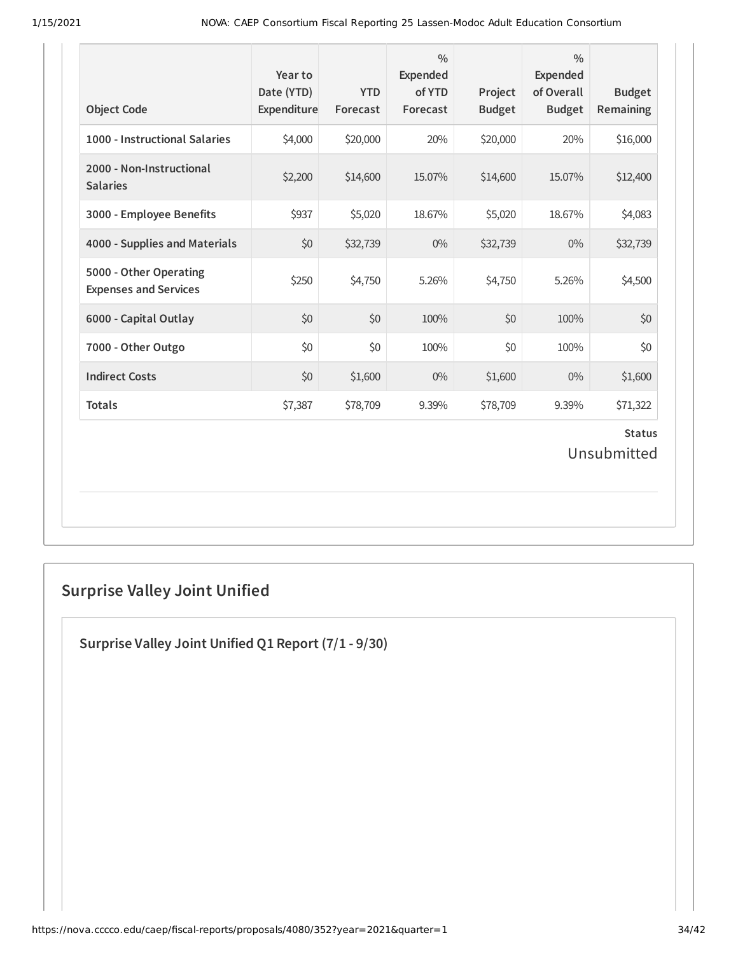| <b>Object Code</b>                                     | Year to<br>Date (YTD)<br>Expenditure | <b>YTD</b><br>Forecast | $\frac{0}{0}$<br><b>Expended</b><br>of YTD<br>Forecast | Project<br><b>Budget</b> | $\frac{0}{0}$<br>Expended<br>of Overall<br><b>Budget</b> | <b>Budget</b><br>Remaining   |
|--------------------------------------------------------|--------------------------------------|------------------------|--------------------------------------------------------|--------------------------|----------------------------------------------------------|------------------------------|
| 1000 - Instructional Salaries                          | \$4,000                              | \$20,000               | 20%                                                    | \$20,000                 | 20%                                                      | \$16,000                     |
| 2000 - Non-Instructional<br><b>Salaries</b>            | \$2,200                              | \$14,600               | 15.07%                                                 | \$14,600                 | 15.07%                                                   | \$12,400                     |
| 3000 - Employee Benefits                               | \$937                                | \$5,020                | 18.67%                                                 | \$5,020                  | 18.67%                                                   | \$4,083                      |
| 4000 - Supplies and Materials                          | \$0                                  | \$32,739               | $0\%$                                                  | \$32,739                 | $0\%$                                                    | \$32,739                     |
| 5000 - Other Operating<br><b>Expenses and Services</b> | \$250                                | \$4,750                | 5.26%                                                  | \$4,750                  | 5.26%                                                    | \$4,500                      |
| 6000 - Capital Outlay                                  | \$0                                  | \$0                    | 100%                                                   | \$0                      | 100%                                                     | \$0                          |
| 7000 - Other Outgo                                     | \$0                                  | \$0                    | 100%                                                   | \$0                      | 100%                                                     | \$0                          |
| <b>Indirect Costs</b>                                  | \$0                                  | \$1,600                | $0\%$                                                  | \$1,600                  | $0\%$                                                    | \$1,600                      |
| <b>Totals</b>                                          | \$7,387                              | \$78,709               | 9.39%                                                  | \$78,709                 | 9.39%                                                    | \$71,322                     |
|                                                        |                                      |                        |                                                        |                          |                                                          | <b>Status</b><br>Unsubmitted |

# **Surprise Valley Joint Unified**

**Surprise Valley Joint Unified Q1 Report (7/1 - 9/30)**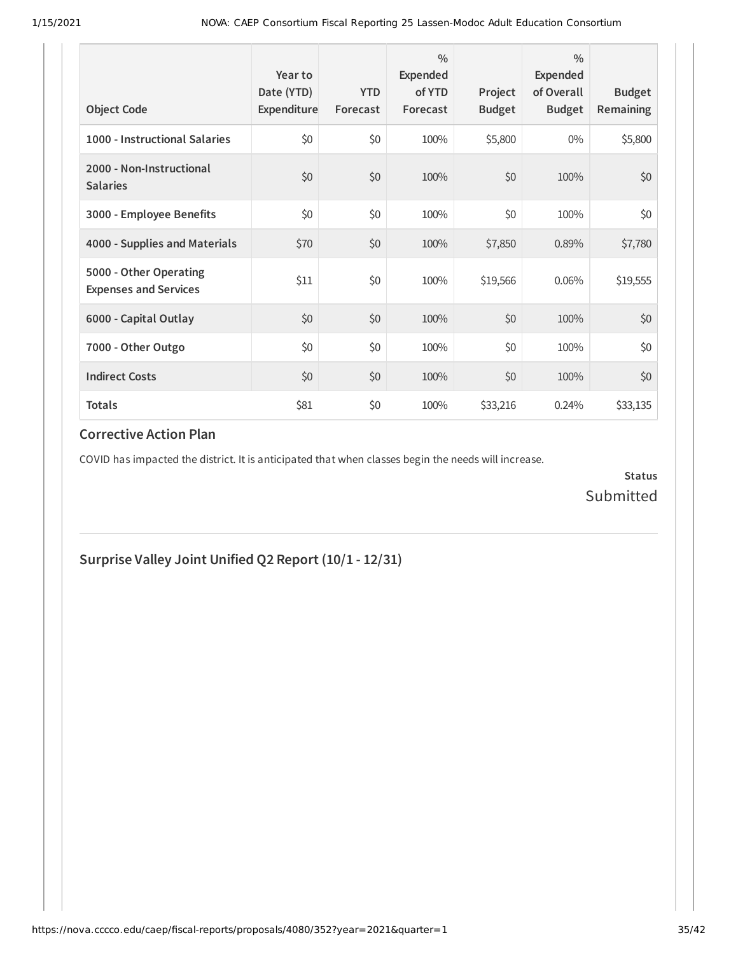| <b>Object Code</b>                                     | Year to<br>Date (YTD)<br>Expenditure | <b>YTD</b><br>Forecast | $\frac{0}{0}$<br>Expended<br>of YTD<br>Forecast | Project<br><b>Budget</b> | $\frac{0}{0}$<br>Expended<br>of Overall<br><b>Budget</b> | <b>Budget</b><br><b>Remaining</b> |
|--------------------------------------------------------|--------------------------------------|------------------------|-------------------------------------------------|--------------------------|----------------------------------------------------------|-----------------------------------|
| 1000 - Instructional Salaries                          | \$0                                  | \$0                    | 100%                                            | \$5,800                  | $0\%$                                                    | \$5,800                           |
| 2000 - Non-Instructional<br><b>Salaries</b>            | \$0                                  | \$0                    | 100%                                            | \$0                      | 100%                                                     | \$0                               |
| 3000 - Employee Benefits                               | \$0                                  | \$0                    | 100%                                            | \$0                      | 100%                                                     | \$0                               |
| 4000 - Supplies and Materials                          | \$70                                 | \$0                    | 100%                                            | \$7,850                  | 0.89%                                                    | \$7,780                           |
| 5000 - Other Operating<br><b>Expenses and Services</b> | \$11                                 | \$0                    | 100%                                            | \$19,566                 | 0.06%                                                    | \$19,555                          |
| 6000 - Capital Outlay                                  | \$0                                  | \$0                    | 100%                                            | \$0                      | 100%                                                     | \$0                               |
| 7000 - Other Outgo                                     | \$0                                  | \$0                    | 100%                                            | \$0                      | 100%                                                     | \$0\$                             |
| <b>Indirect Costs</b>                                  | \$0                                  | \$0                    | 100%                                            | \$0                      | 100%                                                     | \$0                               |
| <b>Totals</b>                                          | \$81                                 | \$0                    | 100%                                            | \$33,216                 | 0.24%                                                    | \$33,135                          |

COVID has impacted the district. It is anticipated that when classes begin the needs will increase.

**Status** Submitted

**Surprise Valley Joint Unified Q2 Report (10/1 - 12/31)**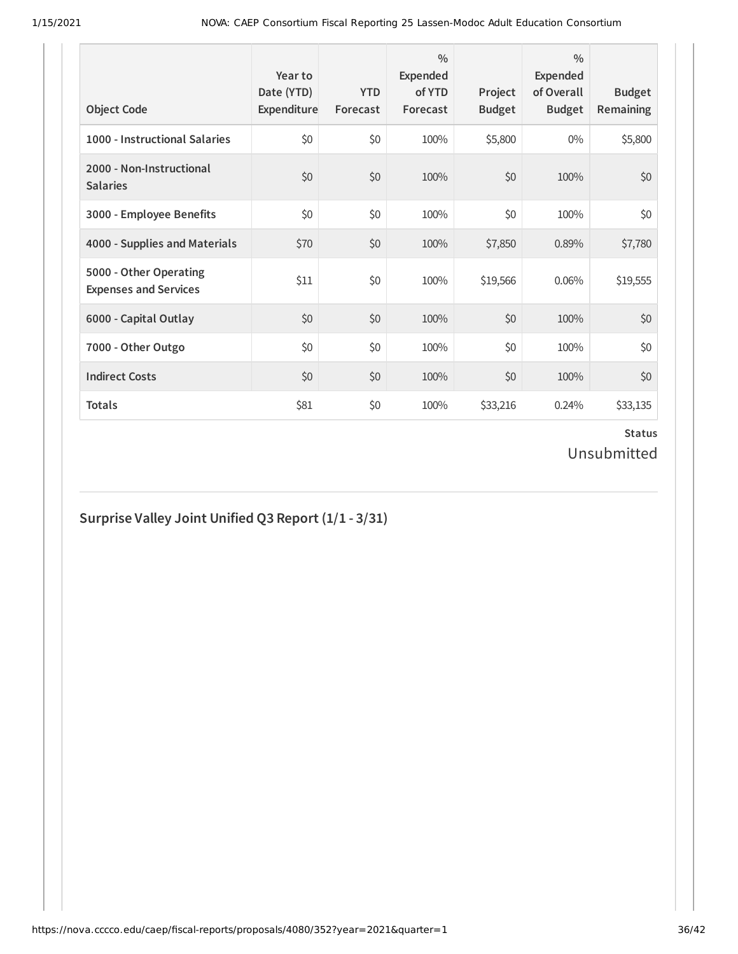| <b>Object Code</b>                                     | Year to<br>Date (YTD)<br>Expenditure | <b>YTD</b><br>Forecast | $\frac{0}{0}$<br>Expended<br>of YTD<br>Forecast | Project<br><b>Budget</b> | $\frac{0}{0}$<br>Expended<br>of Overall<br><b>Budget</b> | <b>Budget</b><br><b>Remaining</b> |
|--------------------------------------------------------|--------------------------------------|------------------------|-------------------------------------------------|--------------------------|----------------------------------------------------------|-----------------------------------|
| 1000 - Instructional Salaries                          | \$0                                  | \$0                    | 100%                                            | \$5,800                  | $0\%$                                                    | \$5,800                           |
| 2000 - Non-Instructional<br><b>Salaries</b>            | \$0                                  | \$0                    | 100%                                            | \$0                      | 100%                                                     | \$0                               |
| 3000 - Employee Benefits                               | \$0                                  | \$0                    | 100%                                            | \$0                      | 100%                                                     | \$0                               |
| 4000 - Supplies and Materials                          | \$70                                 | \$0                    | 100%                                            | \$7,850                  | 0.89%                                                    | \$7,780                           |
| 5000 - Other Operating<br><b>Expenses and Services</b> | \$11                                 | \$0                    | 100%                                            | \$19,566                 | 0.06%                                                    | \$19,555                          |
| 6000 - Capital Outlay                                  | \$0                                  | \$0                    | 100%                                            | \$0                      | 100%                                                     | \$0                               |
| 7000 - Other Outgo                                     | \$0                                  | \$0                    | 100%                                            | \$0                      | 100%                                                     | \$0                               |
| <b>Indirect Costs</b>                                  | \$0                                  | \$0                    | 100%                                            | \$0                      | 100%                                                     | \$0                               |
| <b>Totals</b>                                          | \$81                                 | \$0                    | 100%                                            | \$33,216                 | 0.24%                                                    | \$33,135                          |

## **Surprise Valley Joint Unified Q3 Report (1/1 - 3/31)**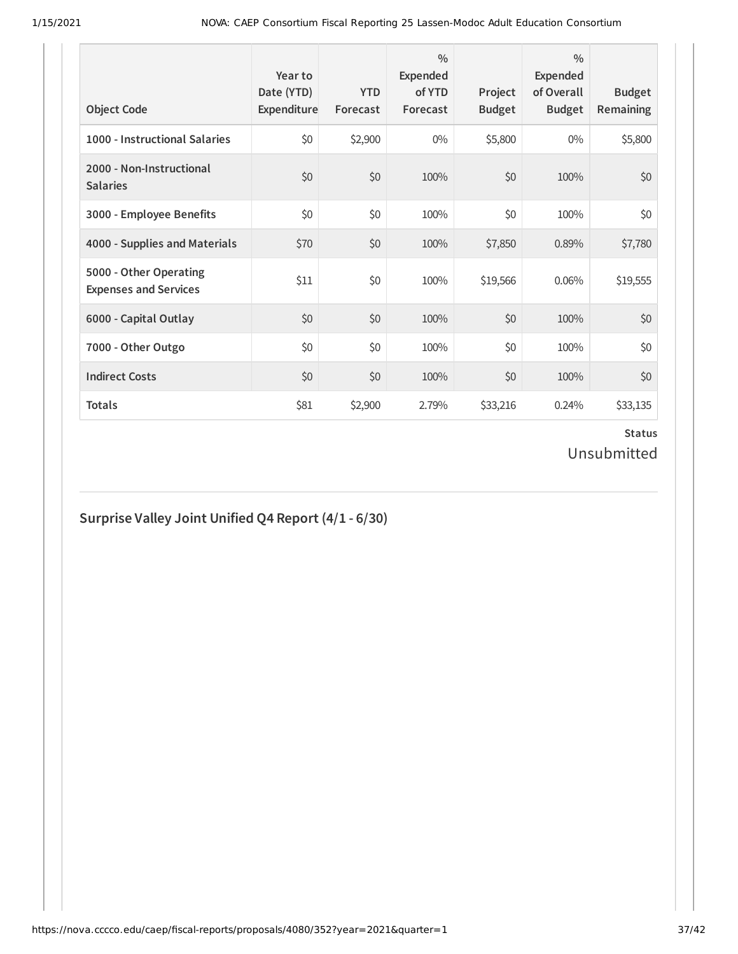| <b>Object Code</b>                                     | Year to<br>Date (YTD)<br>Expenditure | <b>YTD</b><br>Forecast | $\frac{0}{0}$<br>Expended<br>of YTD<br>Forecast | Project<br><b>Budget</b> | $\frac{0}{0}$<br>Expended<br>of Overall<br><b>Budget</b> | <b>Budget</b><br><b>Remaining</b> |
|--------------------------------------------------------|--------------------------------------|------------------------|-------------------------------------------------|--------------------------|----------------------------------------------------------|-----------------------------------|
| 1000 - Instructional Salaries                          | \$0                                  | \$2,900                | $0\%$                                           | \$5,800                  | $0\%$                                                    | \$5,800                           |
| 2000 - Non-Instructional<br><b>Salaries</b>            | \$0                                  | \$0                    | 100%                                            | \$0                      | 100%                                                     | \$0                               |
| 3000 - Employee Benefits                               | \$0                                  | \$0                    | 100%                                            | \$0                      | 100%                                                     | \$0                               |
| 4000 - Supplies and Materials                          | \$70                                 | \$0                    | 100%                                            | \$7,850                  | 0.89%                                                    | \$7,780                           |
| 5000 - Other Operating<br><b>Expenses and Services</b> | \$11                                 | \$0                    | 100%                                            | \$19,566                 | 0.06%                                                    | \$19,555                          |
| 6000 - Capital Outlay                                  | \$0                                  | \$0                    | 100%                                            | \$0                      | 100%                                                     | \$0                               |
| 7000 - Other Outgo                                     | \$0                                  | \$0                    | 100%                                            | \$0                      | 100%                                                     | \$0                               |
| <b>Indirect Costs</b>                                  | \$0                                  | \$0                    | 100%                                            | \$0                      | 100%                                                     | \$0                               |
| <b>Totals</b>                                          | \$81                                 | \$2,900                | 2.79%                                           | \$33,216                 | 0.24%                                                    | \$33,135                          |

## **Surprise Valley Joint Unified Q4 Report (4/1 - 6/30)**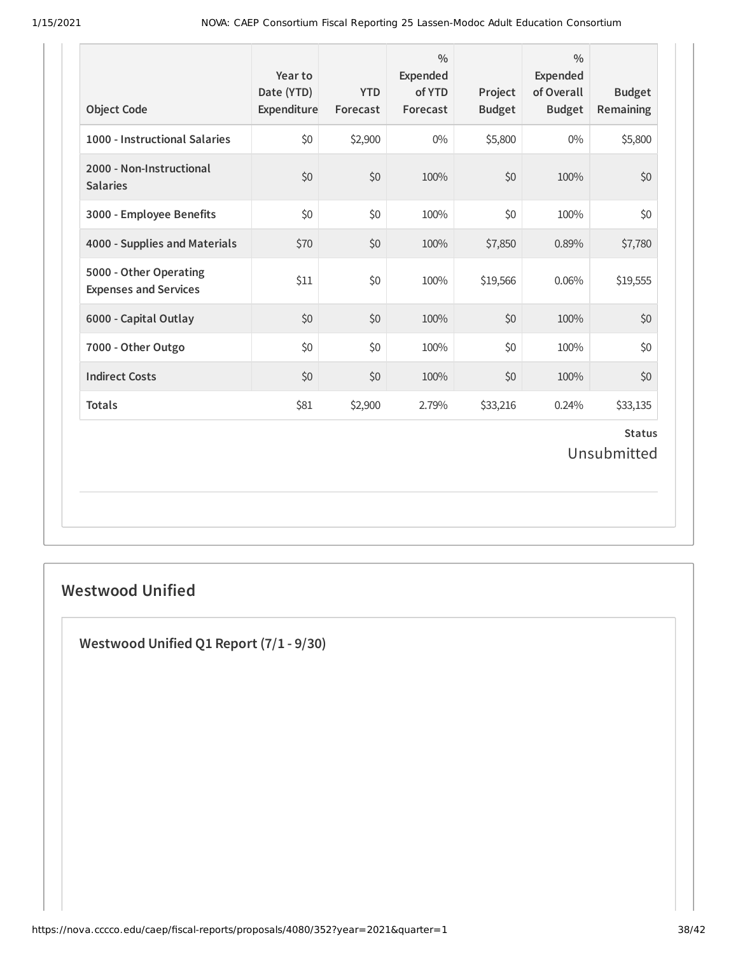| <b>Object Code</b>                                     | Year to<br>Date (YTD)<br>Expenditure | <b>YTD</b><br>Forecast | $\frac{0}{0}$<br>Expended<br>of YTD<br>Forecast | Project<br><b>Budget</b> | $\frac{0}{0}$<br><b>Expended</b><br>of Overall<br><b>Budget</b> | <b>Budget</b><br>Remaining   |
|--------------------------------------------------------|--------------------------------------|------------------------|-------------------------------------------------|--------------------------|-----------------------------------------------------------------|------------------------------|
| 1000 - Instructional Salaries                          | \$0                                  | \$2,900                | $0\%$                                           | \$5,800                  | $0\%$                                                           | \$5,800                      |
| 2000 - Non-Instructional<br><b>Salaries</b>            | \$0                                  | \$0                    | 100%                                            | \$0                      | 100%                                                            | \$0                          |
| 3000 - Employee Benefits                               | \$0                                  | \$0                    | 100%                                            | \$0                      | 100%                                                            | \$0                          |
| 4000 - Supplies and Materials                          | \$70                                 | \$0                    | 100%                                            | \$7,850                  | 0.89%                                                           | \$7,780                      |
| 5000 - Other Operating<br><b>Expenses and Services</b> | \$11                                 | \$0                    | 100%                                            | \$19,566                 | 0.06%                                                           | \$19,555                     |
| 6000 - Capital Outlay                                  | \$0                                  | \$0                    | 100%                                            | \$0                      | 100%                                                            | \$0                          |
| 7000 - Other Outgo                                     | \$0                                  | \$0                    | 100%                                            | \$0                      | 100%                                                            | \$0                          |
| <b>Indirect Costs</b>                                  | \$0                                  | \$0                    | 100%                                            | \$0                      | 100%                                                            | \$0                          |
| <b>Totals</b>                                          | \$81                                 | \$2,900                | 2.79%                                           | \$33,216                 | 0.24%                                                           | \$33,135                     |
|                                                        |                                      |                        |                                                 |                          |                                                                 | <b>Status</b><br>Unsubmitted |

#### **Westwood Unified**

**Westwood Unified Q1 Report (7/1 - 9/30)**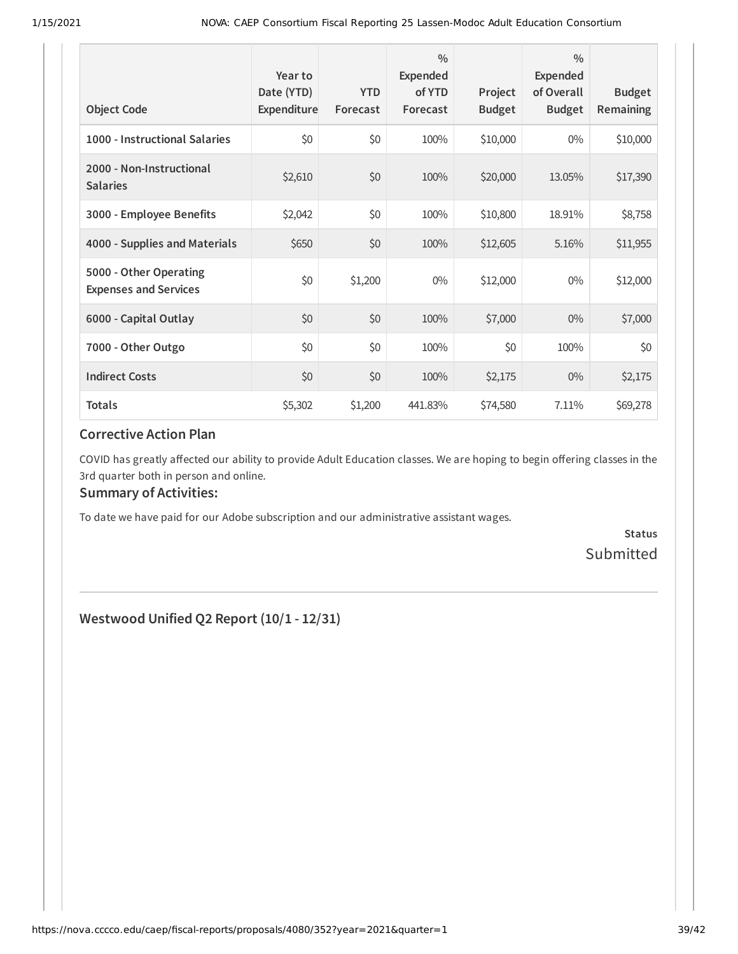| <b>Object Code</b>                                     | Year to<br>Date (YTD)<br>Expenditure | <b>YTD</b><br>Forecast | $\frac{0}{0}$<br>Expended<br>of YTD<br>Forecast | Project<br><b>Budget</b> | $\frac{0}{0}$<br>Expended<br>of Overall<br><b>Budget</b> | <b>Budget</b><br><b>Remaining</b> |
|--------------------------------------------------------|--------------------------------------|------------------------|-------------------------------------------------|--------------------------|----------------------------------------------------------|-----------------------------------|
| 1000 - Instructional Salaries                          | \$0                                  | \$0                    | 100%                                            | \$10,000                 | $0\%$                                                    | \$10,000                          |
| 2000 - Non-Instructional<br><b>Salaries</b>            | \$2,610                              | \$0                    | 100%                                            | \$20,000                 | 13.05%                                                   | \$17,390                          |
| 3000 - Employee Benefits                               | \$2,042                              | \$0                    | 100%                                            | \$10,800                 | 18.91%                                                   | \$8,758                           |
| 4000 - Supplies and Materials                          | \$650                                | \$0                    | 100%                                            | \$12,605                 | 5.16%                                                    | \$11,955                          |
| 5000 - Other Operating<br><b>Expenses and Services</b> | \$0                                  | \$1,200                | $0\%$                                           | \$12,000                 | $0\%$                                                    | \$12,000                          |
| 6000 - Capital Outlay                                  | \$0                                  | \$0                    | 100%                                            | \$7,000                  | $0\%$                                                    | \$7,000                           |
| 7000 - Other Outgo                                     | \$0                                  | \$0                    | 100%                                            | \$0                      | 100%                                                     | \$0                               |
| <b>Indirect Costs</b>                                  | \$0                                  | \$0                    | 100%                                            | \$2,175                  | $0\%$                                                    | \$2,175                           |
| <b>Totals</b>                                          | \$5,302                              | \$1,200                | 441.83%                                         | \$74,580                 | 7.11%                                                    | \$69,278                          |

COVID has greatly affected our ability to provide Adult Education classes. We are hoping to begin offering classes in the 3rd quarter both in person and online.

#### **Summary of Activities:**

To date we have paid for our Adobe subscription and our administrative assistant wages.

**Status** Submitted

**Westwood Unified Q2 Report (10/1 - 12/31)**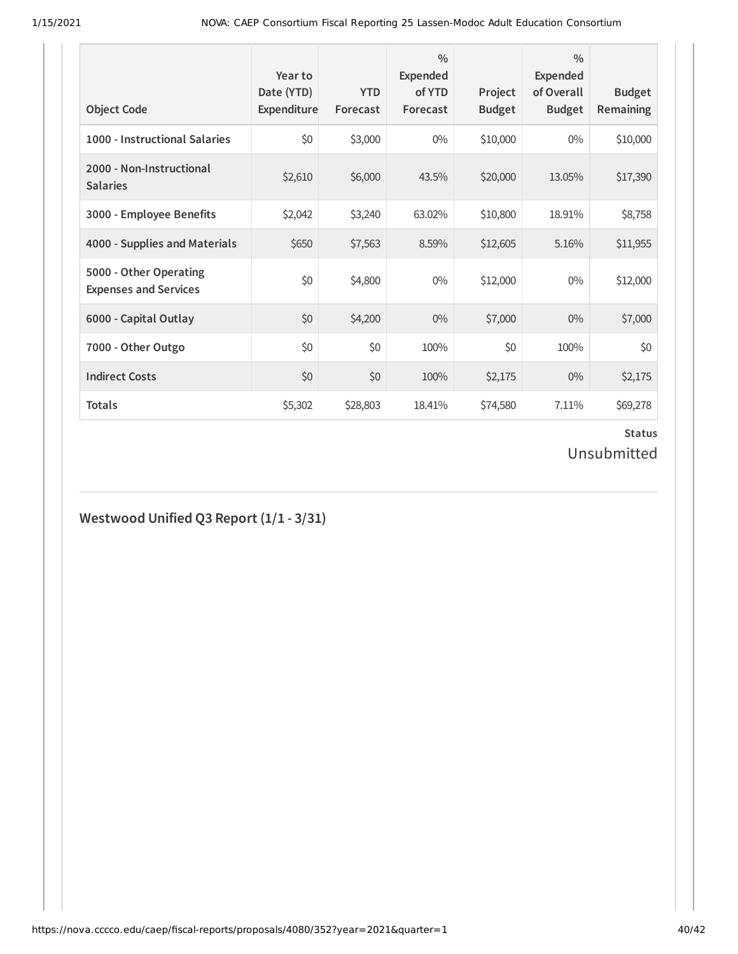| <b>Object Code</b>                                     | Year to<br>Date (YTD)<br>Expenditure | <b>YTD</b><br>Forecast | $\frac{0}{0}$<br>Expended<br>of YTD<br>Forecast | Project<br><b>Budget</b> | $\frac{0}{0}$<br>Expended<br>of Overall<br><b>Budget</b> | <b>Budget</b><br><b>Remaining</b> |
|--------------------------------------------------------|--------------------------------------|------------------------|-------------------------------------------------|--------------------------|----------------------------------------------------------|-----------------------------------|
| 1000 - Instructional Salaries                          | \$0                                  | \$3,000                | $0\%$                                           | \$10,000                 | $0\%$                                                    | \$10,000                          |
| 2000 - Non-Instructional<br><b>Salaries</b>            | \$2,610                              | \$6,000                | 43.5%                                           | \$20,000                 | 13.05%                                                   | \$17,390                          |
| 3000 - Employee Benefits                               | \$2,042                              | \$3,240                | 63.02%                                          | \$10,800                 | 18.91%                                                   | \$8,758                           |
| 4000 - Supplies and Materials                          | \$650                                | \$7,563                | 8.59%                                           | \$12,605                 | 5.16%                                                    | \$11,955                          |
| 5000 - Other Operating<br><b>Expenses and Services</b> | \$0                                  | \$4,800                | $0\%$                                           | \$12,000                 | $0\%$                                                    | \$12,000                          |
| 6000 - Capital Outlay                                  | \$0                                  | \$4,200                | $0\%$                                           | \$7,000                  | $0\%$                                                    | \$7,000                           |
| 7000 - Other Outgo                                     | \$0                                  | \$0                    | 100%                                            | \$0                      | 100%                                                     | \$0                               |
| <b>Indirect Costs</b>                                  | \$0                                  | \$0                    | 100%                                            | \$2,175                  | $0\%$                                                    | \$2,175                           |
| <b>Totals</b>                                          | \$5,302                              | \$28,803               | 18.41%                                          | \$74,580                 | 7.11%                                                    | \$69,278                          |

# **Westwood Unified Q3 Report (1/1 - 3/31)**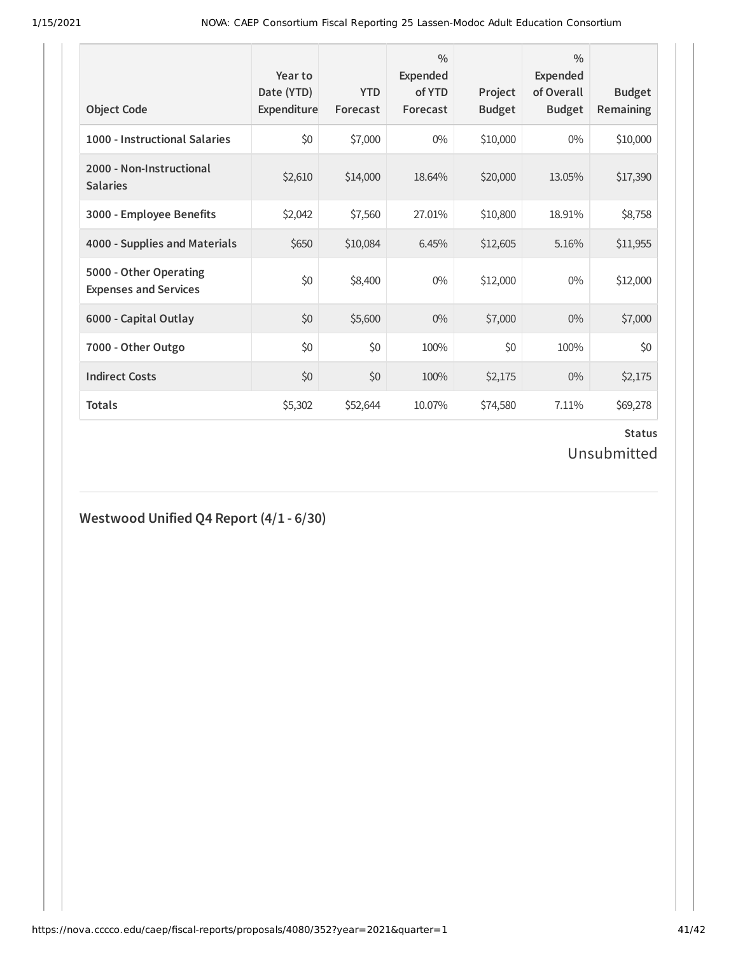| <b>Object Code</b>                                     | Year to<br>Date (YTD)<br>Expenditure | <b>YTD</b><br>Forecast | $\frac{0}{0}$<br>Expended<br>of YTD<br>Forecast | Project<br><b>Budget</b> | $\frac{0}{0}$<br>Expended<br>of Overall<br><b>Budget</b> | <b>Budget</b><br><b>Remaining</b> |
|--------------------------------------------------------|--------------------------------------|------------------------|-------------------------------------------------|--------------------------|----------------------------------------------------------|-----------------------------------|
| 1000 - Instructional Salaries                          | \$0                                  | \$7,000                | $0\%$                                           | \$10,000                 | $0\%$                                                    | \$10,000                          |
| 2000 - Non-Instructional<br><b>Salaries</b>            | \$2,610                              | \$14,000               | 18.64%                                          | \$20,000                 | 13.05%                                                   | \$17,390                          |
| 3000 - Employee Benefits                               | \$2,042                              | \$7,560                | 27.01%                                          | \$10,800                 | 18.91%                                                   | \$8,758                           |
| 4000 - Supplies and Materials                          | \$650                                | \$10,084               | 6.45%                                           | \$12,605                 | 5.16%                                                    | \$11,955                          |
| 5000 - Other Operating<br><b>Expenses and Services</b> | \$0                                  | \$8,400                | $0\%$                                           | \$12,000                 | $0\%$                                                    | \$12,000                          |
| 6000 - Capital Outlay                                  | \$0                                  | \$5,600                | $0\%$                                           | \$7,000                  | $0\%$                                                    | \$7,000                           |
| 7000 - Other Outgo                                     | \$0                                  | \$0                    | 100%                                            | \$0                      | 100%                                                     | \$0                               |
| <b>Indirect Costs</b>                                  | \$0                                  | \$0                    | 100%                                            | \$2,175                  | $0\%$                                                    | \$2,175                           |
| <b>Totals</b>                                          | \$5,302                              | \$52,644               | 10.07%                                          | \$74,580                 | 7.11%                                                    | \$69,278                          |

#### **Westwood Unified Q4 Report (4/1 - 6/30)**